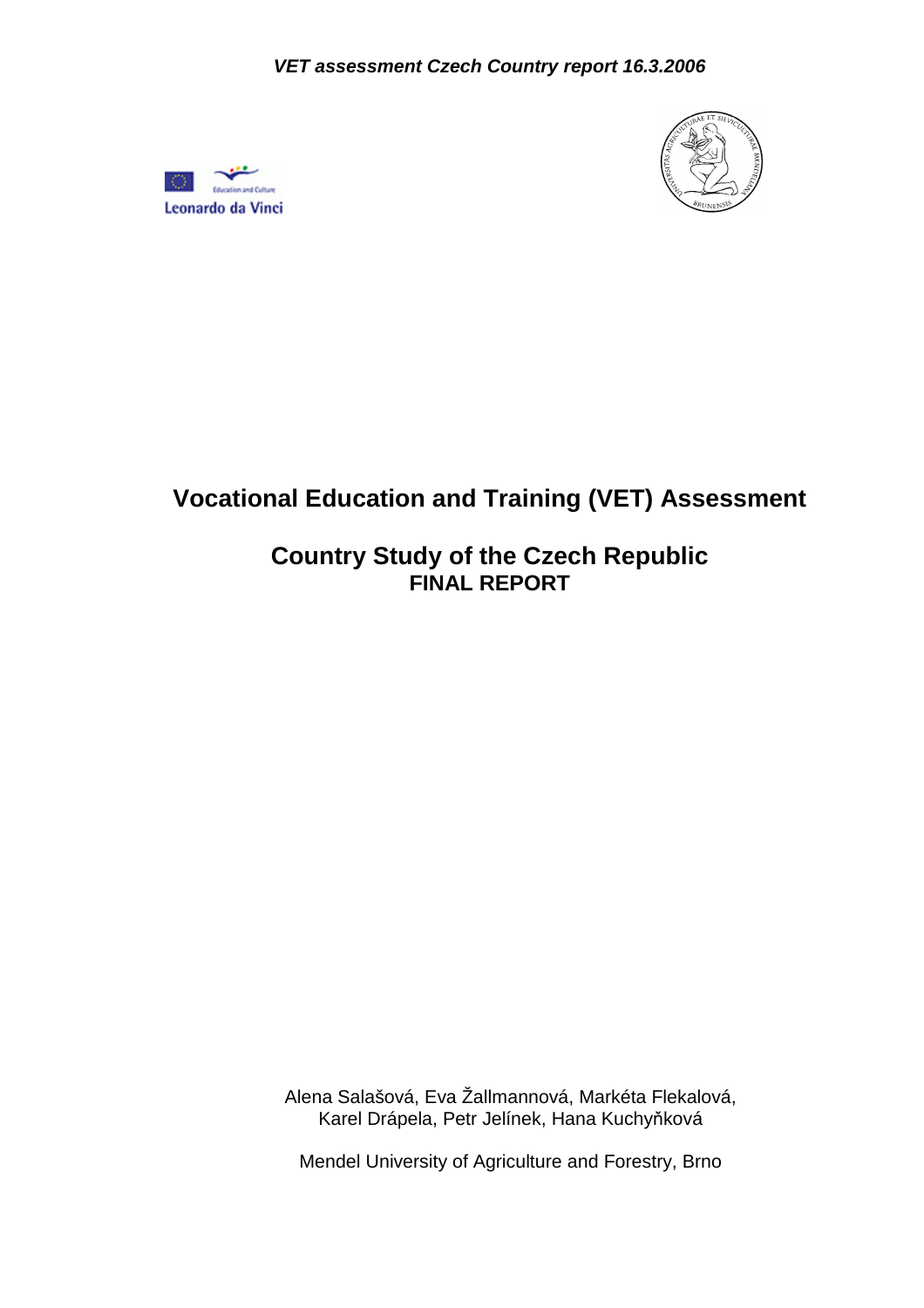



# **Vocational Education and Training (VET) Assessment**

## **Country Study of the Czech Republic FINAL REPORT**

Alena Salašová, Eva Žallmannová, Markéta Flekalová, Karel Drápela, Petr Jelínek, Hana Kuchyňková

Mendel University of Agriculture and Forestry, Brno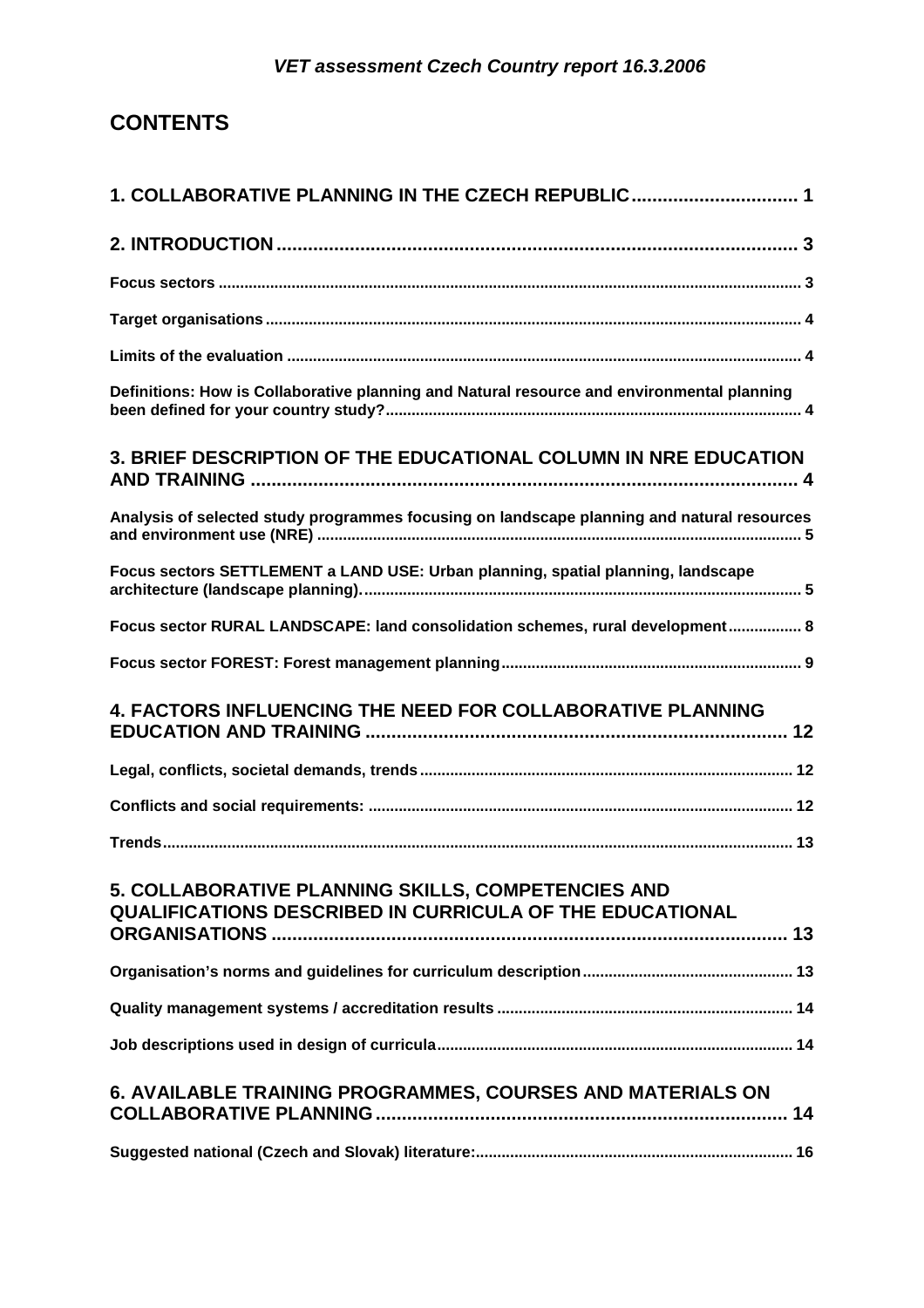## **CONTENTS**

| 1. COLLABORATIVE PLANNING IN THE CZECH REPUBLIC 1                                                              |
|----------------------------------------------------------------------------------------------------------------|
|                                                                                                                |
|                                                                                                                |
|                                                                                                                |
|                                                                                                                |
| Definitions: How is Collaborative planning and Natural resource and environmental planning                     |
| 3. BRIEF DESCRIPTION OF THE EDUCATIONAL COLUMN IN NRE EDUCATION                                                |
| Analysis of selected study programmes focusing on landscape planning and natural resources                     |
| Focus sectors SETTLEMENT a LAND USE: Urban planning, spatial planning, landscape                               |
| Focus sector RURAL LANDSCAPE: land consolidation schemes, rural development 8                                  |
|                                                                                                                |
| 4. FACTORS INFLUENCING THE NEED FOR COLLABORATIVE PLANNING                                                     |
|                                                                                                                |
|                                                                                                                |
|                                                                                                                |
| 5. COLLABORATIVE PLANNING SKILLS, COMPETENCIES AND<br>QUALIFICATIONS DESCRIBED IN CURRICULA OF THE EDUCATIONAL |
|                                                                                                                |
|                                                                                                                |
|                                                                                                                |
| 6. AVAILABLE TRAINING PROGRAMMES, COURSES AND MATERIALS ON                                                     |
|                                                                                                                |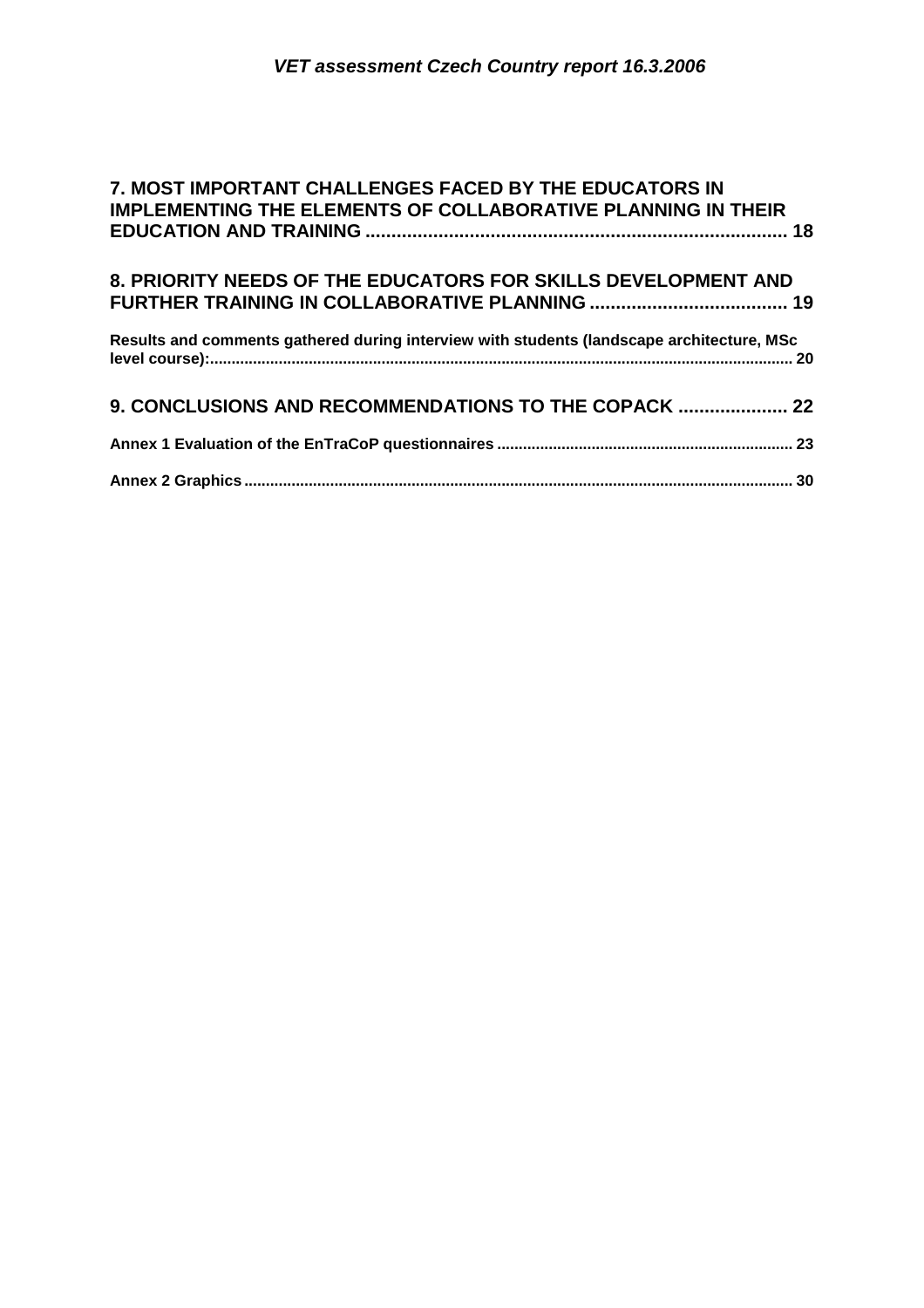| 7. MOST IMPORTANT CHALLENGES FACED BY THE EDUCATORS IN                                    |  |
|-------------------------------------------------------------------------------------------|--|
| <b>IMPLEMENTING THE ELEMENTS OF COLLABORATIVE PLANNING IN THEIR</b>                       |  |
| 8. PRIORITY NEEDS OF THE EDUCATORS FOR SKILLS DEVELOPMENT AND                             |  |
| Results and comments gathered during interview with students (landscape architecture, MSc |  |
| 9. CONCLUSIONS AND RECOMMENDATIONS TO THE COPACK  22                                      |  |
|                                                                                           |  |
|                                                                                           |  |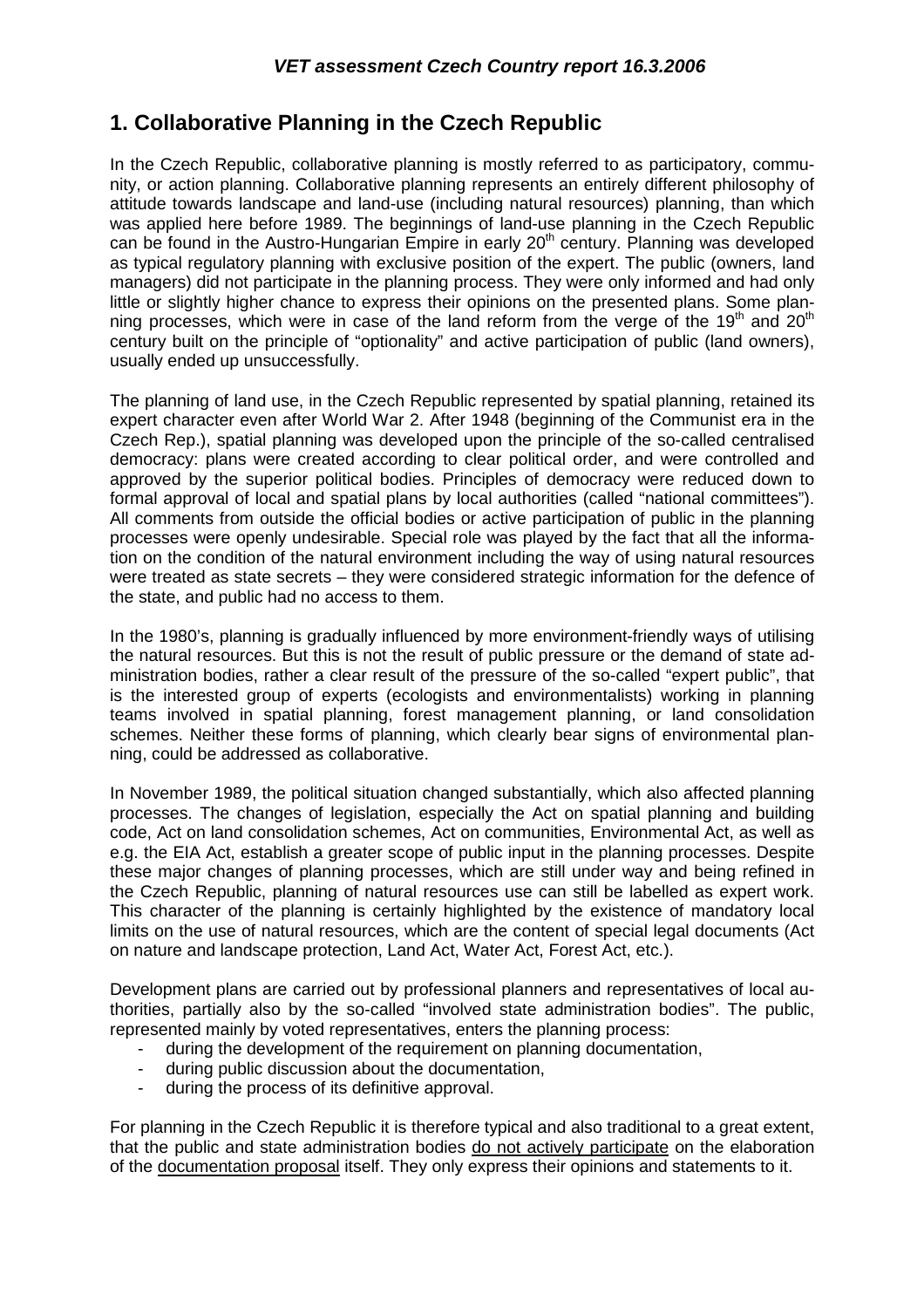## **1. Collaborative Planning in the Czech Republic**

In the Czech Republic, collaborative planning is mostly referred to as participatory, community, or action planning. Collaborative planning represents an entirely different philosophy of attitude towards landscape and land-use (including natural resources) planning, than which was applied here before 1989. The beginnings of land-use planning in the Czech Republic can be found in the Austro-Hungarian Empire in early  $20<sup>th</sup>$  century. Planning was developed as typical regulatory planning with exclusive position of the expert. The public (owners, land managers) did not participate in the planning process. They were only informed and had only little or slightly higher chance to express their opinions on the presented plans. Some planning processes, which were in case of the land reform from the verge of the 19<sup>th</sup> and 20<sup>th</sup> century built on the principle of "optionality" and active participation of public (land owners), usually ended up unsuccessfully.

The planning of land use, in the Czech Republic represented by spatial planning, retained its expert character even after World War 2. After 1948 (beginning of the Communist era in the Czech Rep.), spatial planning was developed upon the principle of the so-called centralised democracy: plans were created according to clear political order, and were controlled and approved by the superior political bodies. Principles of democracy were reduced down to formal approval of local and spatial plans by local authorities (called "national committees"). All comments from outside the official bodies or active participation of public in the planning processes were openly undesirable. Special role was played by the fact that all the information on the condition of the natural environment including the way of using natural resources were treated as state secrets – they were considered strategic information for the defence of the state, and public had no access to them.

In the 1980's, planning is gradually influenced by more environment-friendly ways of utilising the natural resources. But this is not the result of public pressure or the demand of state administration bodies, rather a clear result of the pressure of the so-called "expert public", that is the interested group of experts (ecologists and environmentalists) working in planning teams involved in spatial planning, forest management planning, or land consolidation schemes. Neither these forms of planning, which clearly bear signs of environmental planning, could be addressed as collaborative.

In November 1989, the political situation changed substantially, which also affected planning processes. The changes of legislation, especially the Act on spatial planning and building code, Act on land consolidation schemes, Act on communities, Environmental Act, as well as e.g. the EIA Act, establish a greater scope of public input in the planning processes. Despite these major changes of planning processes, which are still under way and being refined in the Czech Republic, planning of natural resources use can still be labelled as expert work. This character of the planning is certainly highlighted by the existence of mandatory local limits on the use of natural resources, which are the content of special legal documents (Act on nature and landscape protection, Land Act, Water Act, Forest Act, etc.).

Development plans are carried out by professional planners and representatives of local authorities, partially also by the so-called "involved state administration bodies". The public, represented mainly by voted representatives, enters the planning process:

- during the development of the requirement on planning documentation,
- during public discussion about the documentation,
- during the process of its definitive approval.

For planning in the Czech Republic it is therefore typical and also traditional to a great extent, that the public and state administration bodies do not actively participate on the elaboration of the documentation proposal itself. They only express their opinions and statements to it.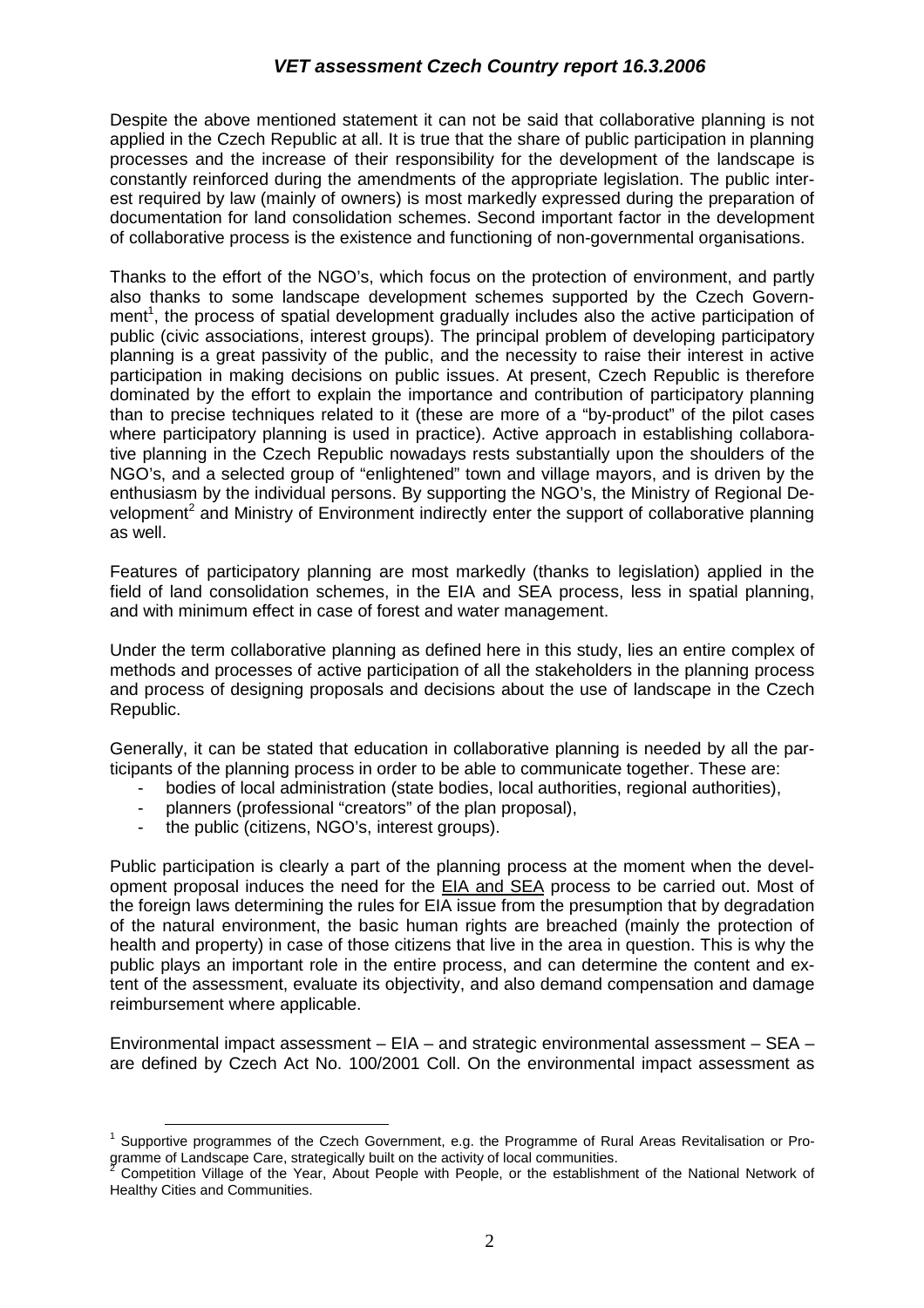Despite the above mentioned statement it can not be said that collaborative planning is not applied in the Czech Republic at all. It is true that the share of public participation in planning processes and the increase of their responsibility for the development of the landscape is constantly reinforced during the amendments of the appropriate legislation. The public interest required by law (mainly of owners) is most markedly expressed during the preparation of documentation for land consolidation schemes. Second important factor in the development of collaborative process is the existence and functioning of non-governmental organisations.

Thanks to the effort of the NGO's, which focus on the protection of environment, and partly also thanks to some landscape development schemes supported by the Czech Government<sup>1</sup>, the process of spatial development gradually includes also the active participation of public (civic associations, interest groups). The principal problem of developing participatory planning is a great passivity of the public, and the necessity to raise their interest in active participation in making decisions on public issues. At present, Czech Republic is therefore dominated by the effort to explain the importance and contribution of participatory planning than to precise techniques related to it (these are more of a "by-product" of the pilot cases where participatory planning is used in practice). Active approach in establishing collaborative planning in the Czech Republic nowadays rests substantially upon the shoulders of the NGO's, and a selected group of "enlightened" town and village mayors, and is driven by the enthusiasm by the individual persons. By supporting the NGO's, the Ministry of Regional Development<sup>2</sup> and Ministry of Environment indirectly enter the support of collaborative planning as well.

Features of participatory planning are most markedly (thanks to legislation) applied in the field of land consolidation schemes, in the EIA and SEA process, less in spatial planning, and with minimum effect in case of forest and water management.

Under the term collaborative planning as defined here in this study, lies an entire complex of methods and processes of active participation of all the stakeholders in the planning process and process of designing proposals and decisions about the use of landscape in the Czech Republic.

Generally, it can be stated that education in collaborative planning is needed by all the participants of the planning process in order to be able to communicate together. These are:

- bodies of local administration (state bodies, local authorities, regional authorities),
- planners (professional "creators" of the plan proposal),
- the public (citizens, NGO's, interest groups).

Public participation is clearly a part of the planning process at the moment when the development proposal induces the need for the EIA and SEA process to be carried out. Most of the foreign laws determining the rules for EIA issue from the presumption that by degradation of the natural environment, the basic human rights are breached (mainly the protection of health and property) in case of those citizens that live in the area in question. This is why the public plays an important role in the entire process, and can determine the content and extent of the assessment, evaluate its objectivity, and also demand compensation and damage reimbursement where applicable.

Environmental impact assessment – EIA – and strategic environmental assessment – SEA – are defined by Czech Act No. 100/2001 Coll. On the environmental impact assessment as

 $\overline{a}$ <sup>1</sup> Supportive programmes of the Czech Government, e.g. the Programme of Rural Areas Revitalisation or Programme of Landscape Care, strategically built on the activity of local communities.<br><sup>2</sup> Compatition Village of the Year, About Peaple with Peaple, at the actablishme

Competition Village of the Year, About People with People, or the establishment of the National Network of Healthy Cities and Communities.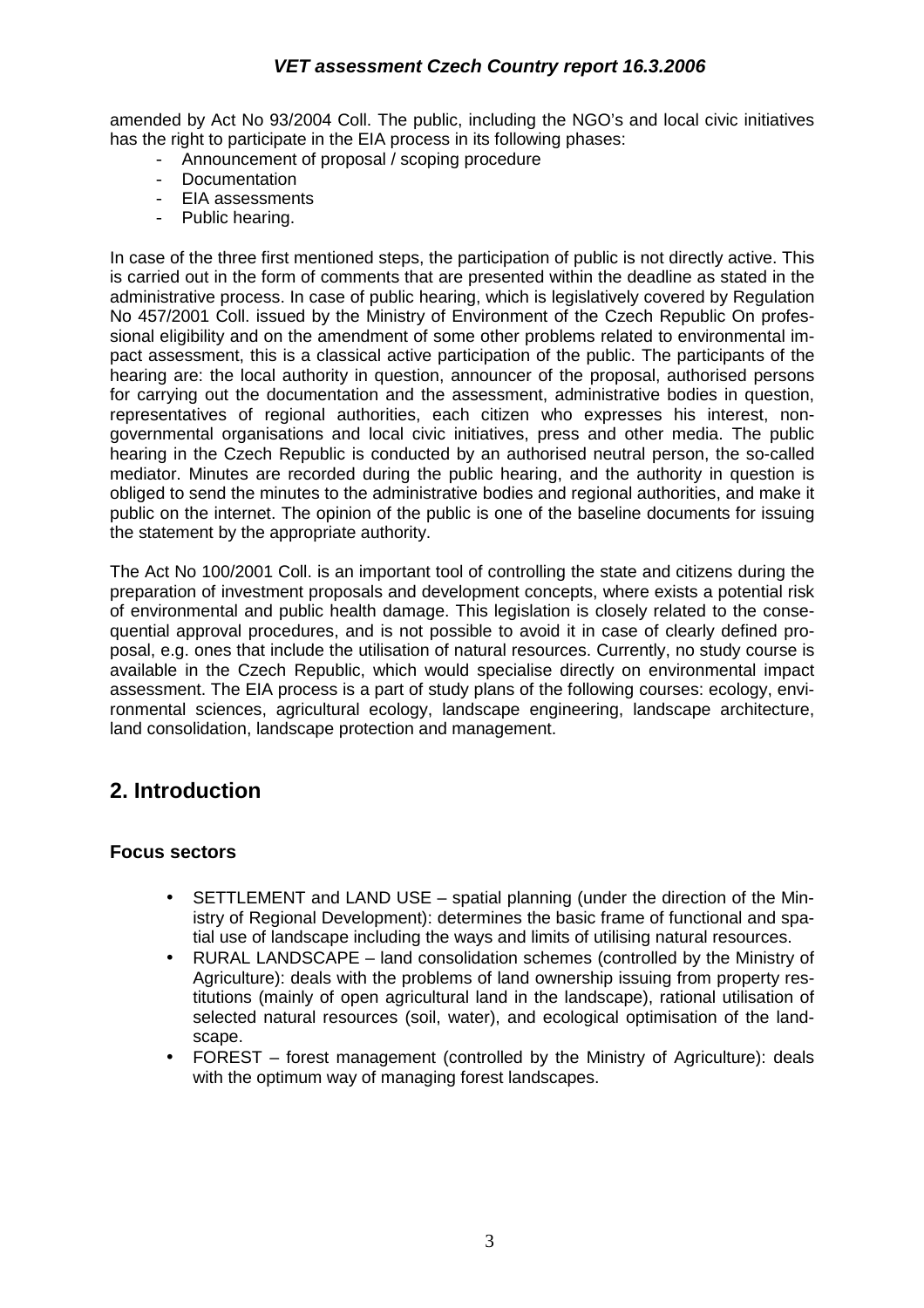amended by Act No 93/2004 Coll. The public, including the NGO's and local civic initiatives has the right to participate in the EIA process in its following phases:

- Announcement of proposal / scoping procedure
- Documentation
- EIA assessments
- Public hearing.

In case of the three first mentioned steps, the participation of public is not directly active. This is carried out in the form of comments that are presented within the deadline as stated in the administrative process. In case of public hearing, which is legislatively covered by Regulation No 457/2001 Coll. issued by the Ministry of Environment of the Czech Republic On professional eligibility and on the amendment of some other problems related to environmental impact assessment, this is a classical active participation of the public. The participants of the hearing are: the local authority in question, announcer of the proposal, authorised persons for carrying out the documentation and the assessment, administrative bodies in question, representatives of regional authorities, each citizen who expresses his interest, nongovernmental organisations and local civic initiatives, press and other media. The public hearing in the Czech Republic is conducted by an authorised neutral person, the so-called mediator. Minutes are recorded during the public hearing, and the authority in question is obliged to send the minutes to the administrative bodies and regional authorities, and make it public on the internet. The opinion of the public is one of the baseline documents for issuing the statement by the appropriate authority.

The Act No 100/2001 Coll. is an important tool of controlling the state and citizens during the preparation of investment proposals and development concepts, where exists a potential risk of environmental and public health damage. This legislation is closely related to the consequential approval procedures, and is not possible to avoid it in case of clearly defined proposal, e.g. ones that include the utilisation of natural resources. Currently, no study course is available in the Czech Republic, which would specialise directly on environmental impact assessment. The EIA process is a part of study plans of the following courses: ecology, environmental sciences, agricultural ecology, landscape engineering, landscape architecture, land consolidation, landscape protection and management.

## **2. Introduction**

#### **Focus sectors**

- SETTLEMENT and LAND USE spatial planning (under the direction of the Ministry of Regional Development): determines the basic frame of functional and spatial use of landscape including the ways and limits of utilising natural resources.
- RURAL LANDSCAPE land consolidation schemes (controlled by the Ministry of Agriculture): deals with the problems of land ownership issuing from property restitutions (mainly of open agricultural land in the landscape), rational utilisation of selected natural resources (soil, water), and ecological optimisation of the landscape.
- FOREST forest management (controlled by the Ministry of Agriculture): deals with the optimum way of managing forest landscapes.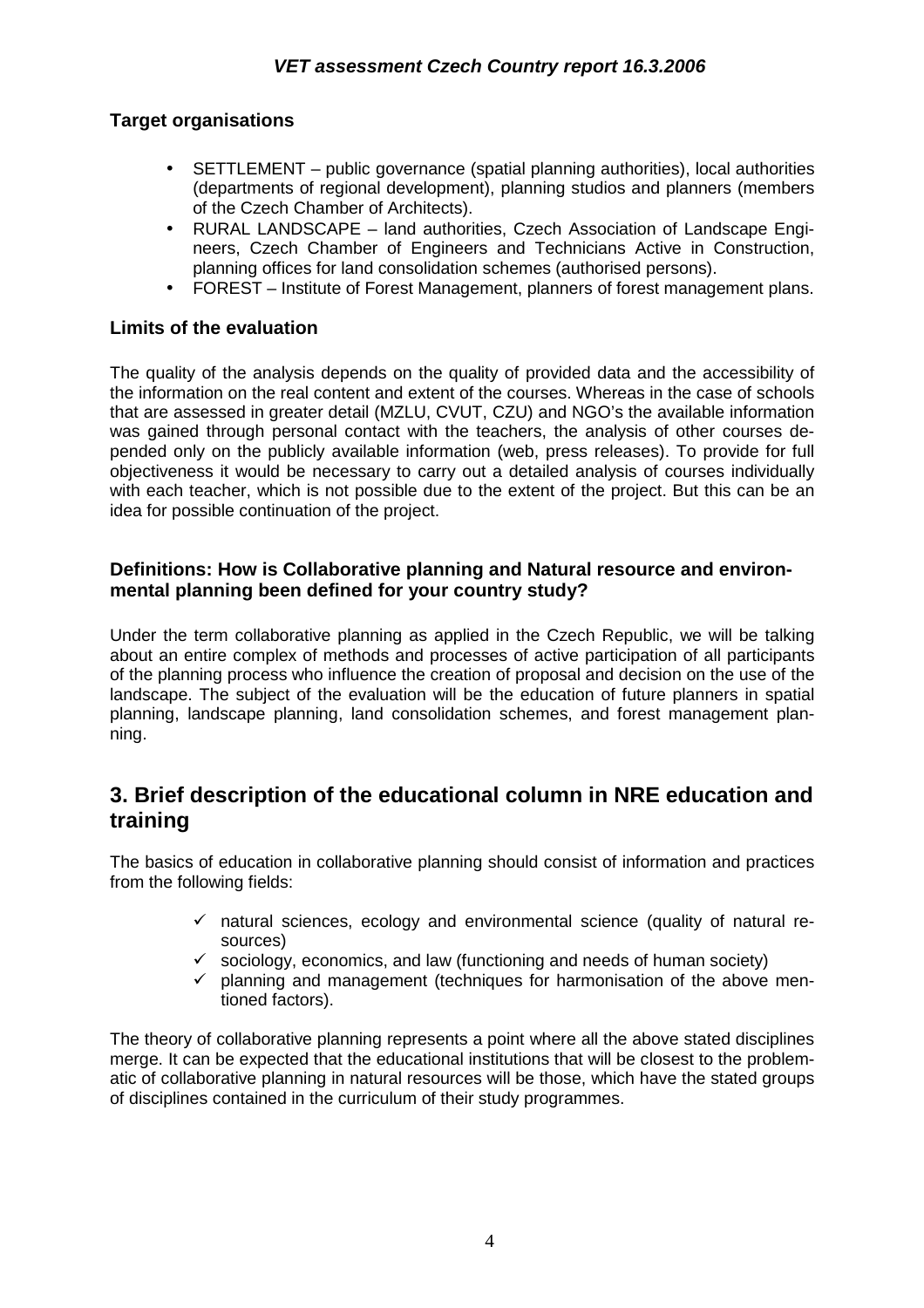## **Target organisations**

- SETTLEMENT public governance (spatial planning authorities), local authorities (departments of regional development), planning studios and planners (members of the Czech Chamber of Architects).
- RURAL LANDSCAPE land authorities, Czech Association of Landscape Engineers, Czech Chamber of Engineers and Technicians Active in Construction, planning offices for land consolidation schemes (authorised persons).
- FOREST Institute of Forest Management, planners of forest management plans.

## **Limits of the evaluation**

The quality of the analysis depends on the quality of provided data and the accessibility of the information on the real content and extent of the courses. Whereas in the case of schools that are assessed in greater detail (MZLU, CVUT, CZU) and NGO's the available information was gained through personal contact with the teachers, the analysis of other courses depended only on the publicly available information (web, press releases). To provide for full objectiveness it would be necessary to carry out a detailed analysis of courses individually with each teacher, which is not possible due to the extent of the project. But this can be an idea for possible continuation of the project.

## **Definitions: How is Collaborative planning and Natural resource and environmental planning been defined for your country study?**

Under the term collaborative planning as applied in the Czech Republic, we will be talking about an entire complex of methods and processes of active participation of all participants of the planning process who influence the creation of proposal and decision on the use of the landscape. The subject of the evaluation will be the education of future planners in spatial planning, landscape planning, land consolidation schemes, and forest management planning.

## **3. Brief description of the educational column in NRE education and training**

The basics of education in collaborative planning should consist of information and practices from the following fields:

- $\checkmark$  natural sciences, ecology and environmental science (quality of natural resources)
- $\checkmark$  sociology, economics, and law (functioning and needs of human society)
- $\checkmark$  planning and management (techniques for harmonisation of the above mentioned factors).

The theory of collaborative planning represents a point where all the above stated disciplines merge. It can be expected that the educational institutions that will be closest to the problematic of collaborative planning in natural resources will be those, which have the stated groups of disciplines contained in the curriculum of their study programmes.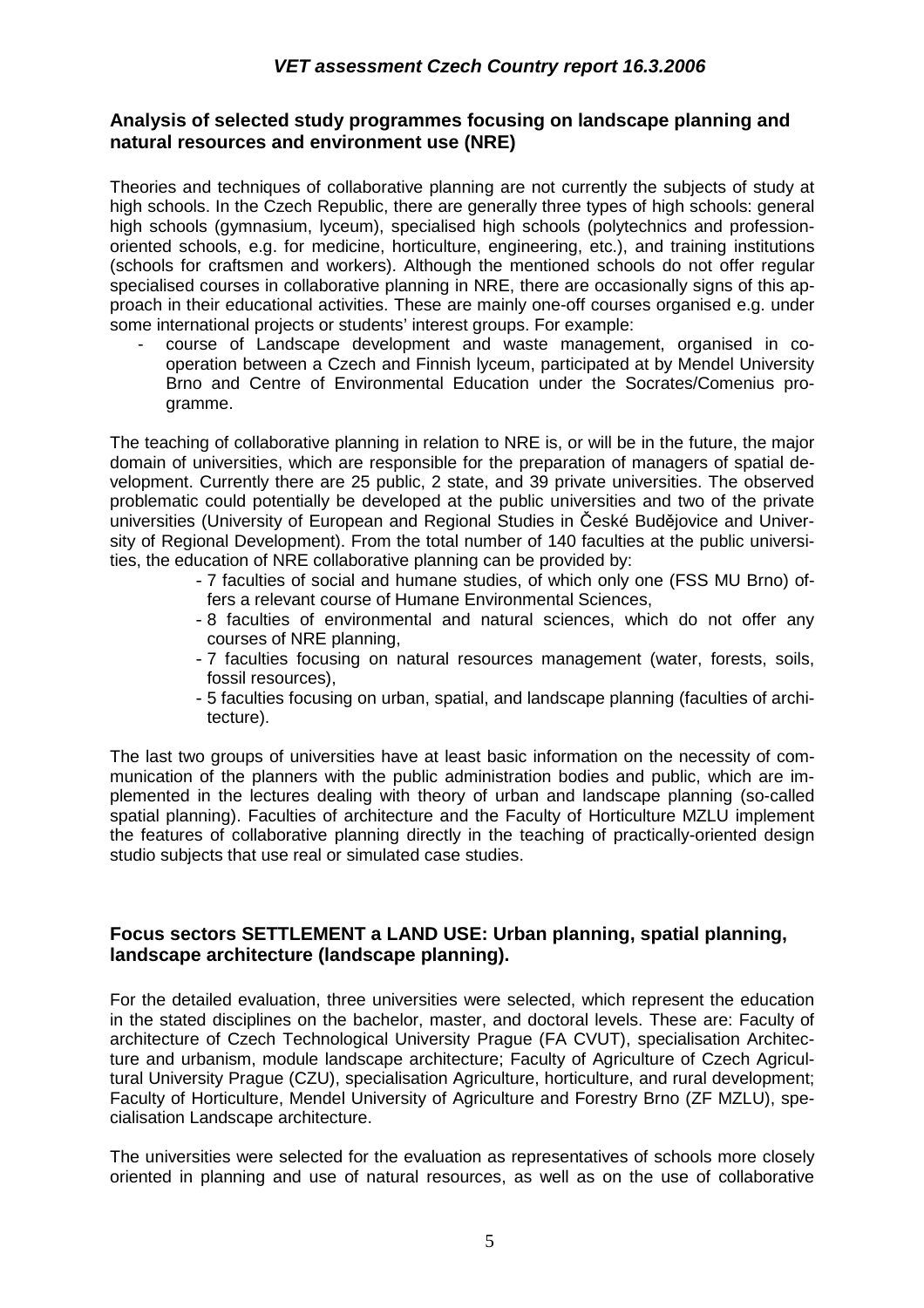#### **Analysis of selected study programmes focusing on landscape planning and natural resources and environment use (NRE)**

Theories and techniques of collaborative planning are not currently the subjects of study at high schools. In the Czech Republic, there are generally three types of high schools: general high schools (gymnasium, lyceum), specialised high schools (polytechnics and professionoriented schools, e.g. for medicine, horticulture, engineering, etc.), and training institutions (schools for craftsmen and workers). Although the mentioned schools do not offer regular specialised courses in collaborative planning in NRE, there are occasionally signs of this approach in their educational activities. These are mainly one-off courses organised e.g. under some international projects or students' interest groups. For example:

- course of Landscape development and waste management, organised in cooperation between a Czech and Finnish lyceum, participated at by Mendel University Brno and Centre of Environmental Education under the Socrates/Comenius programme.

The teaching of collaborative planning in relation to NRE is, or will be in the future, the major domain of universities, which are responsible for the preparation of managers of spatial development. Currently there are 25 public, 2 state, and 39 private universities. The observed problematic could potentially be developed at the public universities and two of the private universities (University of European and Regional Studies in České Budějovice and University of Regional Development). From the total number of 140 faculties at the public universities, the education of NRE collaborative planning can be provided by:

- 7 faculties of social and humane studies, of which only one (FSS MU Brno) offers a relevant course of Humane Environmental Sciences,
- 8 faculties of environmental and natural sciences, which do not offer any courses of NRE planning,
- 7 faculties focusing on natural resources management (water, forests, soils, fossil resources),
- 5 faculties focusing on urban, spatial, and landscape planning (faculties of architecture).

The last two groups of universities have at least basic information on the necessity of communication of the planners with the public administration bodies and public, which are implemented in the lectures dealing with theory of urban and landscape planning (so-called spatial planning). Faculties of architecture and the Faculty of Horticulture MZLU implement the features of collaborative planning directly in the teaching of practically-oriented design studio subjects that use real or simulated case studies.

## **Focus sectors SETTLEMENT a LAND USE: Urban planning, spatial planning, landscape architecture (landscape planning).**

For the detailed evaluation, three universities were selected, which represent the education in the stated disciplines on the bachelor, master, and doctoral levels. These are: Faculty of architecture of Czech Technological University Prague (FA CVUT), specialisation Architecture and urbanism, module landscape architecture; Faculty of Agriculture of Czech Agricultural University Prague (CZU), specialisation Agriculture, horticulture, and rural development; Faculty of Horticulture, Mendel University of Agriculture and Forestry Brno (ZF MZLU), specialisation Landscape architecture.

The universities were selected for the evaluation as representatives of schools more closely oriented in planning and use of natural resources, as well as on the use of collaborative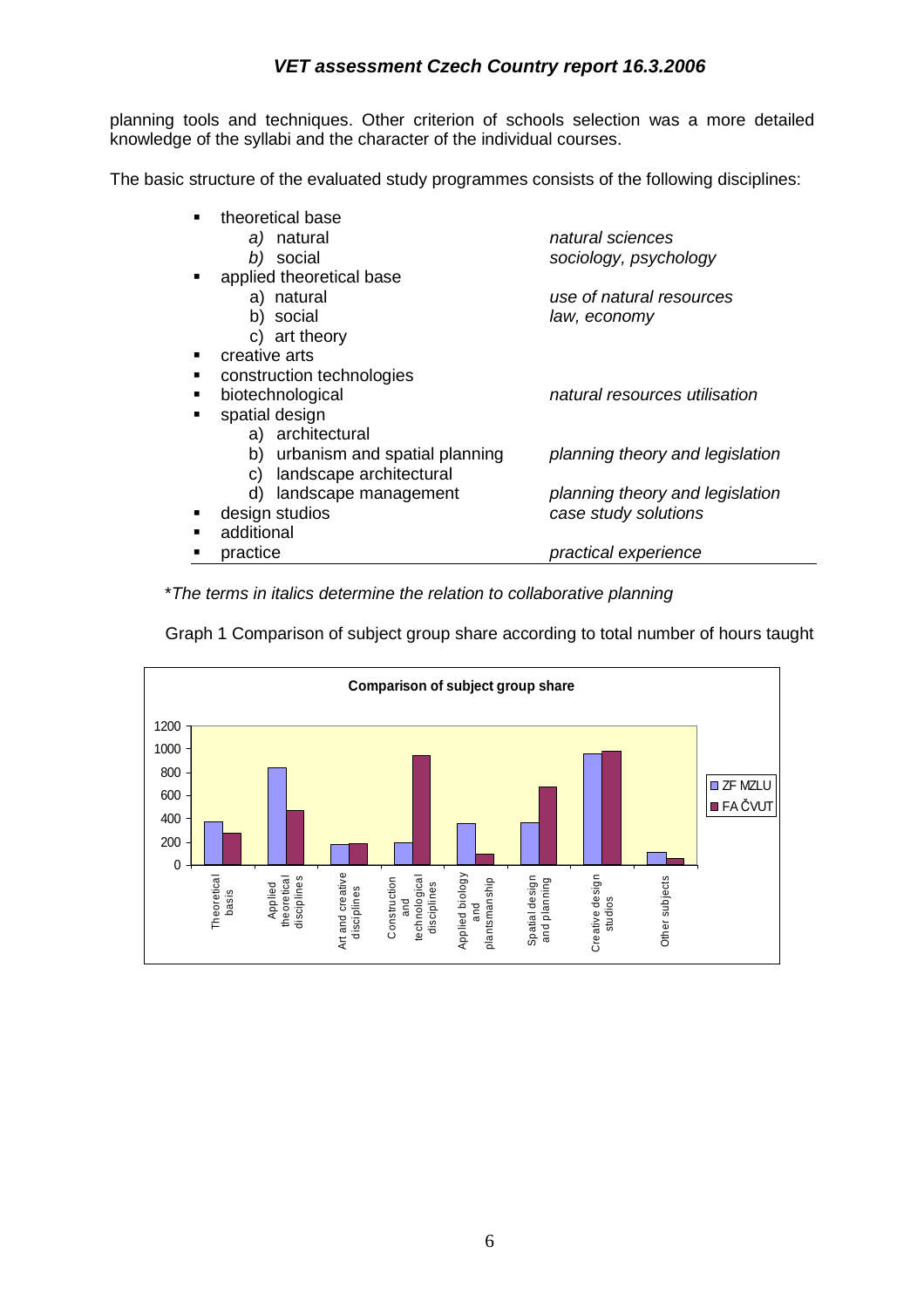planning tools and techniques. Other criterion of schools selection was a more detailed knowledge of the syllabi and the character of the individual courses.

The basic structure of the evaluated study programmes consists of the following disciplines:

| theoretical base                 |                                 |
|----------------------------------|---------------------------------|
| a) natural                       | natural sciences                |
| b) social                        | sociology, psychology           |
| applied theoretical base         |                                 |
| a) natural                       | use of natural resources        |
| b) social                        | law, economy                    |
| c) art theory                    |                                 |
| creative arts                    |                                 |
| construction technologies        |                                 |
| biotechnological                 | natural resources utilisation   |
| spatial design                   |                                 |
| a) architectural                 |                                 |
| b) urbanism and spatial planning | planning theory and legislation |
| landscape architectural<br>C)    |                                 |
| d) landscape management          | planning theory and legislation |
| design studios                   | case study solutions            |
| additional                       |                                 |
| practice                         | practical experience            |
|                                  |                                 |

\*The terms in italics determine the relation to collaborative planning



Graph 1 Comparison of subject group share according to total number of hours taught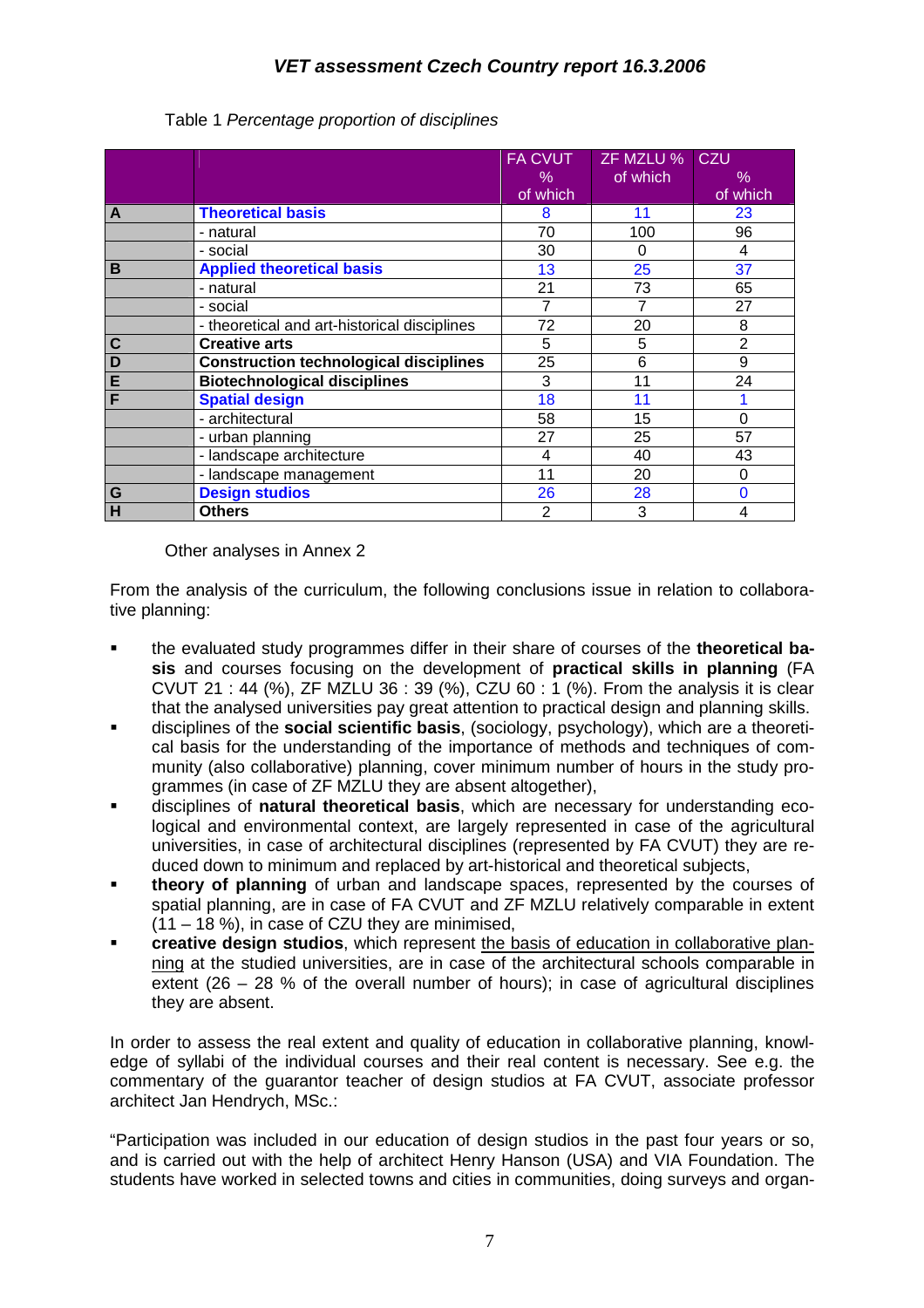|             |                                               | <b>FA CVUT</b><br>% | ZF MZLU % CZU<br>of which | $\%$           |
|-------------|-----------------------------------------------|---------------------|---------------------------|----------------|
|             |                                               | of which            |                           | of which       |
| A           | <b>Theoretical basis</b>                      | 8                   | 11                        | 23             |
|             | - natural                                     | 70                  | 100                       | 96             |
|             | - social                                      | 30                  | 0                         | 4              |
| B           | <b>Applied theoretical basis</b>              | 13                  | 25                        | 37             |
|             | - natural                                     | 21                  | 73                        | 65             |
|             | - social                                      |                     | 7                         | 27             |
|             | - theoretical and art-historical disciplines  | 72                  | 20                        | 8              |
| $\mathbf c$ | <b>Creative arts</b>                          | 5                   | 5                         | $\overline{2}$ |
| D           | <b>Construction technological disciplines</b> | 25                  | 6                         | 9              |
| E           | <b>Biotechnological disciplines</b>           | 3                   | 11                        | 24             |
| F           | <b>Spatial design</b>                         | 18                  | 11                        |                |
|             | - architectural                               | 58                  | 15                        | $\Omega$       |
|             | - urban planning                              | 27                  | 25                        | 57             |
|             | - landscape architecture                      | 4                   | 40                        | 43             |
|             | - landscape management                        | 11                  | 20                        | 0              |
| G           | <b>Design studios</b>                         | 26                  | 28                        | 0              |
| Н           | <b>Others</b>                                 | $\overline{2}$      | 3                         |                |

#### Table 1 Percentage proportion of disciplines

Other analyses in Annex 2

From the analysis of the curriculum, the following conclusions issue in relation to collaborative planning:

- the evaluated study programmes differ in their share of courses of the **theoretical basis** and courses focusing on the development of **practical skills in planning** (FA CVUT 21 : 44 (%), ZF MZLU 36 : 39 (%), CZU 60 : 1 (%). From the analysis it is clear that the analysed universities pay great attention to practical design and planning skills.
- disciplines of the **social scientific basis**, (sociology, psychology), which are a theoretical basis for the understanding of the importance of methods and techniques of community (also collaborative) planning, cover minimum number of hours in the study programmes (in case of ZF MZLU they are absent altogether),
- disciplines of **natural theoretical basis**, which are necessary for understanding ecological and environmental context, are largely represented in case of the agricultural universities, in case of architectural disciplines (represented by FA CVUT) they are reduced down to minimum and replaced by art-historical and theoretical subjects,
- **theory of planning** of urban and landscape spaces, represented by the courses of spatial planning, are in case of FA CVUT and ZF MZLU relatively comparable in extent (11 – 18 %), in case of CZU they are minimised,
- **creative design studios**, which represent the basis of education in collaborative planning at the studied universities, are in case of the architectural schools comparable in extent (26 – 28 % of the overall number of hours); in case of agricultural disciplines they are absent.

In order to assess the real extent and quality of education in collaborative planning, knowledge of syllabi of the individual courses and their real content is necessary. See e.g. the commentary of the guarantor teacher of design studios at FA CVUT, associate professor architect Jan Hendrych, MSc.:

"Participation was included in our education of design studios in the past four years or so, and is carried out with the help of architect Henry Hanson (USA) and VIA Foundation. The students have worked in selected towns and cities in communities, doing surveys and organ-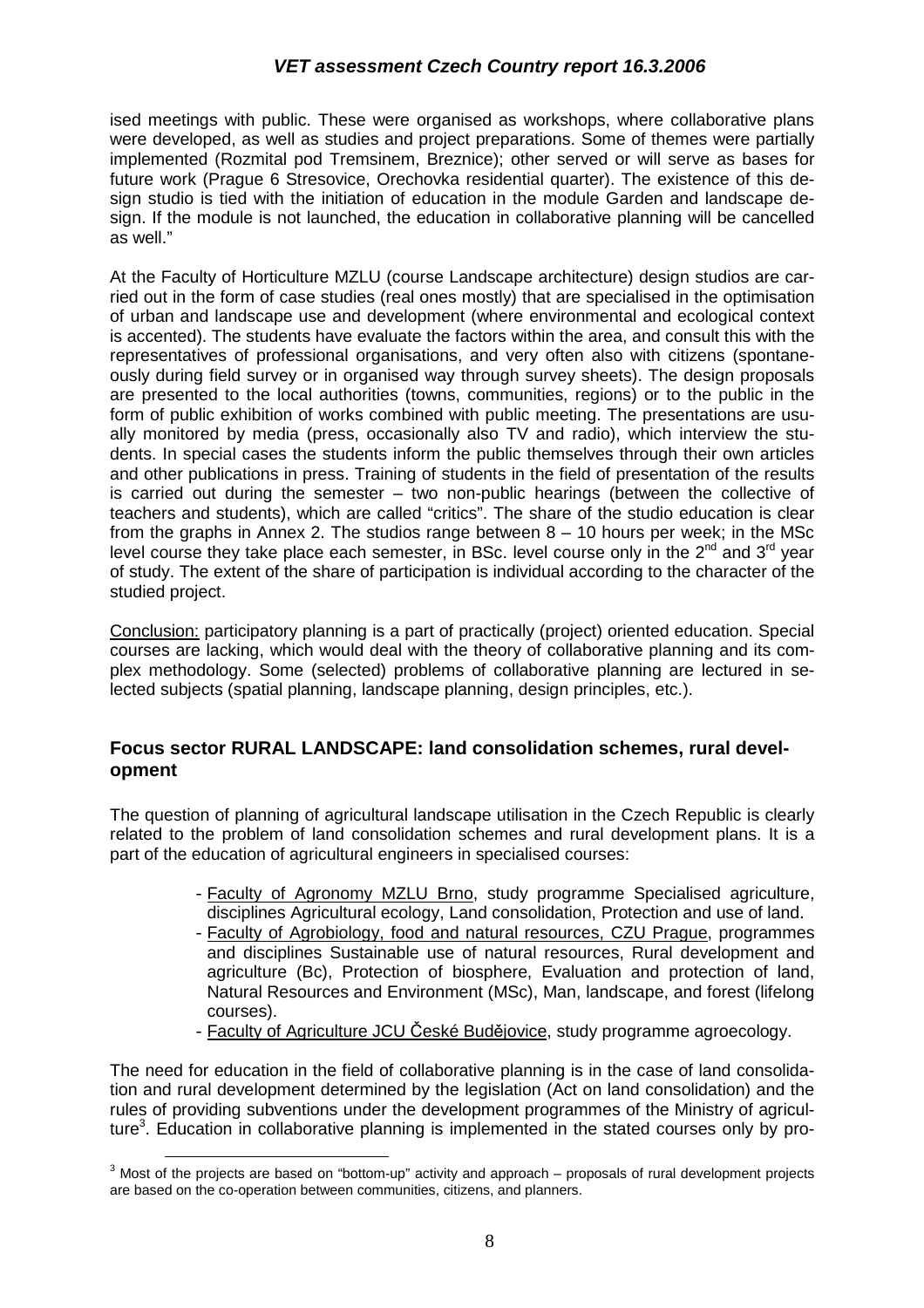ised meetings with public. These were organised as workshops, where collaborative plans were developed, as well as studies and project preparations. Some of themes were partially implemented (Rozmital pod Tremsinem, Breznice); other served or will serve as bases for future work (Prague 6 Stresovice, Orechovka residential quarter). The existence of this design studio is tied with the initiation of education in the module Garden and landscape design. If the module is not launched, the education in collaborative planning will be cancelled as well."

At the Faculty of Horticulture MZLU (course Landscape architecture) design studios are carried out in the form of case studies (real ones mostly) that are specialised in the optimisation of urban and landscape use and development (where environmental and ecological context is accented). The students have evaluate the factors within the area, and consult this with the representatives of professional organisations, and very often also with citizens (spontaneously during field survey or in organised way through survey sheets). The design proposals are presented to the local authorities (towns, communities, regions) or to the public in the form of public exhibition of works combined with public meeting. The presentations are usually monitored by media (press, occasionally also TV and radio), which interview the students. In special cases the students inform the public themselves through their own articles and other publications in press. Training of students in the field of presentation of the results is carried out during the semester – two non-public hearings (between the collective of teachers and students), which are called "critics". The share of the studio education is clear from the graphs in Annex 2. The studios range between  $8 - 10$  hours per week; in the MSc level course they take place each semester, in BSc. level course only in the  $2^{nd}$  and  $3^{rd}$  year of study. The extent of the share of participation is individual according to the character of the studied project.

Conclusion: participatory planning is a part of practically (project) oriented education. Special courses are lacking, which would deal with the theory of collaborative planning and its complex methodology. Some (selected) problems of collaborative planning are lectured in selected subjects (spatial planning, landscape planning, design principles, etc.).

#### **Focus sector RURAL LANDSCAPE: land consolidation schemes, rural development**

The question of planning of agricultural landscape utilisation in the Czech Republic is clearly related to the problem of land consolidation schemes and rural development plans. It is a part of the education of agricultural engineers in specialised courses:

- Faculty of Agronomy MZLU Brno, study programme Specialised agriculture, disciplines Agricultural ecology, Land consolidation, Protection and use of land.
- Faculty of Agrobiology, food and natural resources, CZU Prague, programmes and disciplines Sustainable use of natural resources, Rural development and agriculture (Bc), Protection of biosphere, Evaluation and protection of land, Natural Resources and Environment (MSc), Man, landscape, and forest (lifelong courses).
- Faculty of Agriculture JCU České Budějovice, study programme agroecology.

The need for education in the field of collaborative planning is in the case of land consolidation and rural development determined by the legislation (Act on land consolidation) and the rules of providing subventions under the development programmes of the Ministry of agriculture<sup>3</sup>. Education in collaborative planning is implemented in the stated courses only by pro-

 $\overline{a}$ 

 $3$  Most of the projects are based on "bottom-up" activity and approach – proposals of rural development projects are based on the co-operation between communities, citizens, and planners.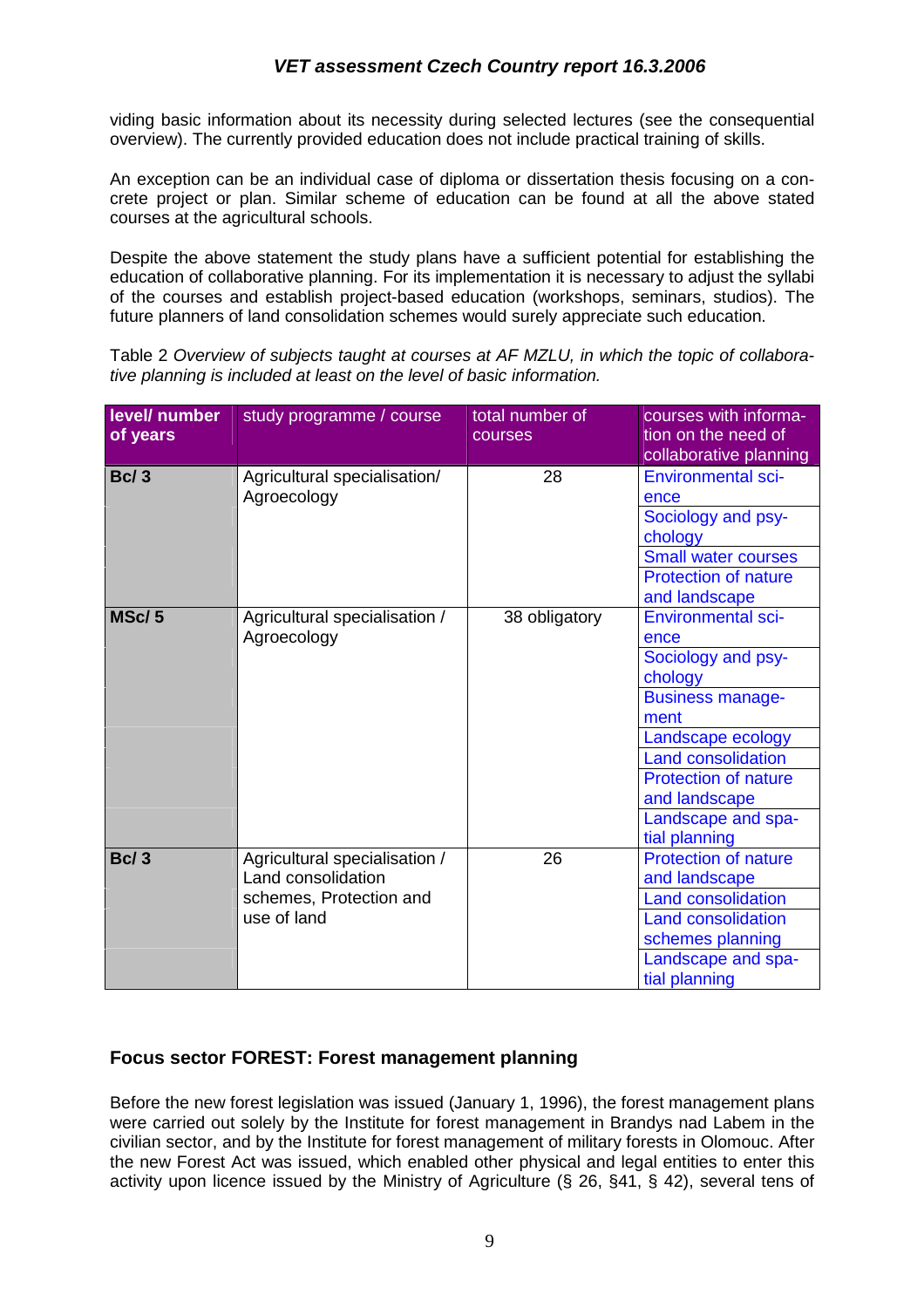viding basic information about its necessity during selected lectures (see the consequential overview). The currently provided education does not include practical training of skills.

An exception can be an individual case of diploma or dissertation thesis focusing on a concrete project or plan. Similar scheme of education can be found at all the above stated courses at the agricultural schools.

Despite the above statement the study plans have a sufficient potential for establishing the education of collaborative planning. For its implementation it is necessary to adjust the syllabi of the courses and establish project-based education (workshops, seminars, studios). The future planners of land consolidation schemes would surely appreciate such education.

Table 2 Overview of subjects taught at courses at AF MZLU, in which the topic of collaborative planning is included at least on the level of basic information.

| level/ number<br>of years | study programme / course                                                                      | total number of<br>courses | courses with informa-<br>tion on the need of<br>collaborative planning                                                                                                                                                                         |
|---------------------------|-----------------------------------------------------------------------------------------------|----------------------------|------------------------------------------------------------------------------------------------------------------------------------------------------------------------------------------------------------------------------------------------|
| Bc/3                      | Agricultural specialisation/<br>Agroecology                                                   | 28                         | <b>Environmental sci-</b><br>ence<br>Sociology and psy-<br>chology<br><b>Small water courses</b><br><b>Protection of nature</b><br>and landscape                                                                                               |
| MSc/5                     | Agricultural specialisation /<br>Agroecology                                                  | 38 obligatory              | <b>Environmental sci-</b><br>ence<br>Sociology and psy-<br>chology<br><b>Business manage-</b><br>ment<br>Landscape ecology<br><b>Land consolidation</b><br><b>Protection of nature</b><br>and landscape<br>Landscape and spa-<br>tial planning |
| <b>Bc/3</b>               | Agricultural specialisation /<br>Land consolidation<br>schemes, Protection and<br>use of land | 26                         | <b>Protection of nature</b><br>and landscape<br><b>Land consolidation</b><br><b>Land consolidation</b><br>schemes planning<br>Landscape and spa-<br>tial planning                                                                              |

#### **Focus sector FOREST: Forest management planning**

Before the new forest legislation was issued (January 1, 1996), the forest management plans were carried out solely by the Institute for forest management in Brandys nad Labem in the civilian sector, and by the Institute for forest management of military forests in Olomouc. After the new Forest Act was issued, which enabled other physical and legal entities to enter this activity upon licence issued by the Ministry of Agriculture (§ 26, §41, § 42), several tens of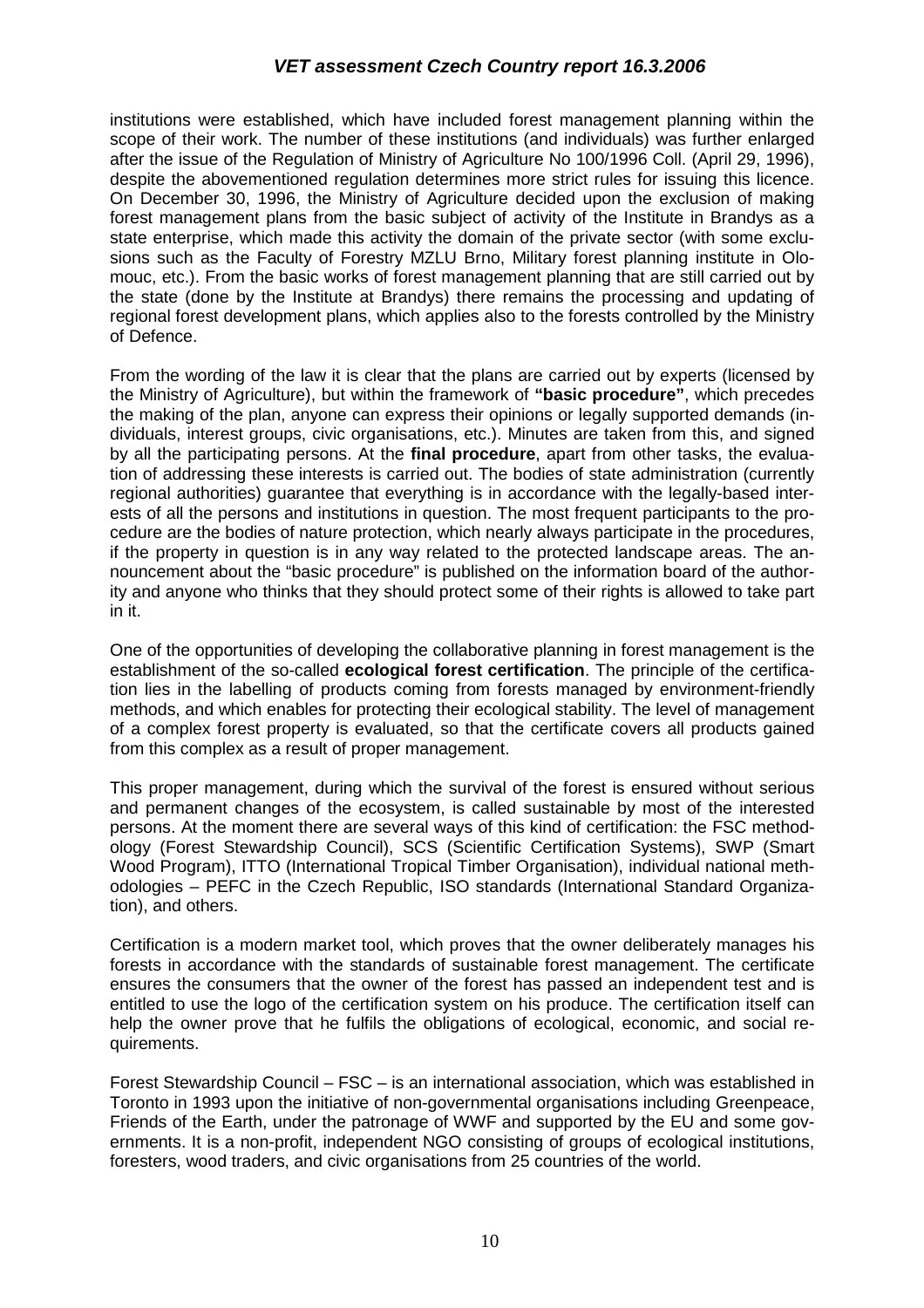institutions were established, which have included forest management planning within the scope of their work. The number of these institutions (and individuals) was further enlarged after the issue of the Regulation of Ministry of Agriculture No 100/1996 Coll. (April 29, 1996), despite the abovementioned regulation determines more strict rules for issuing this licence. On December 30, 1996, the Ministry of Agriculture decided upon the exclusion of making forest management plans from the basic subject of activity of the Institute in Brandys as a state enterprise, which made this activity the domain of the private sector (with some exclusions such as the Faculty of Forestry MZLU Brno, Military forest planning institute in Olomouc, etc.). From the basic works of forest management planning that are still carried out by the state (done by the Institute at Brandys) there remains the processing and updating of regional forest development plans, which applies also to the forests controlled by the Ministry of Defence.

From the wording of the law it is clear that the plans are carried out by experts (licensed by the Ministry of Agriculture), but within the framework of **"basic procedure"**, which precedes the making of the plan, anyone can express their opinions or legally supported demands (individuals, interest groups, civic organisations, etc.). Minutes are taken from this, and signed by all the participating persons. At the **final procedure**, apart from other tasks, the evaluation of addressing these interests is carried out. The bodies of state administration (currently regional authorities) guarantee that everything is in accordance with the legally-based interests of all the persons and institutions in question. The most frequent participants to the procedure are the bodies of nature protection, which nearly always participate in the procedures, if the property in question is in any way related to the protected landscape areas. The announcement about the "basic procedure" is published on the information board of the authority and anyone who thinks that they should protect some of their rights is allowed to take part in it.

One of the opportunities of developing the collaborative planning in forest management is the establishment of the so-called **ecological forest certification**. The principle of the certification lies in the labelling of products coming from forests managed by environment-friendly methods, and which enables for protecting their ecological stability. The level of management of a complex forest property is evaluated, so that the certificate covers all products gained from this complex as a result of proper management.

This proper management, during which the survival of the forest is ensured without serious and permanent changes of the ecosystem, is called sustainable by most of the interested persons. At the moment there are several ways of this kind of certification: the FSC methodology (Forest Stewardship Council), SCS (Scientific Certification Systems), SWP (Smart Wood Program), ITTO (International Tropical Timber Organisation), individual national methodologies – PEFC in the Czech Republic, ISO standards (International Standard Organization), and others.

Certification is a modern market tool, which proves that the owner deliberately manages his forests in accordance with the standards of sustainable forest management. The certificate ensures the consumers that the owner of the forest has passed an independent test and is entitled to use the logo of the certification system on his produce. The certification itself can help the owner prove that he fulfils the obligations of ecological, economic, and social requirements.

Forest Stewardship Council – FSC – is an international association, which was established in Toronto in 1993 upon the initiative of non-governmental organisations including Greenpeace, Friends of the Earth, under the patronage of WWF and supported by the EU and some governments. It is a non-profit, independent NGO consisting of groups of ecological institutions, foresters, wood traders, and civic organisations from 25 countries of the world.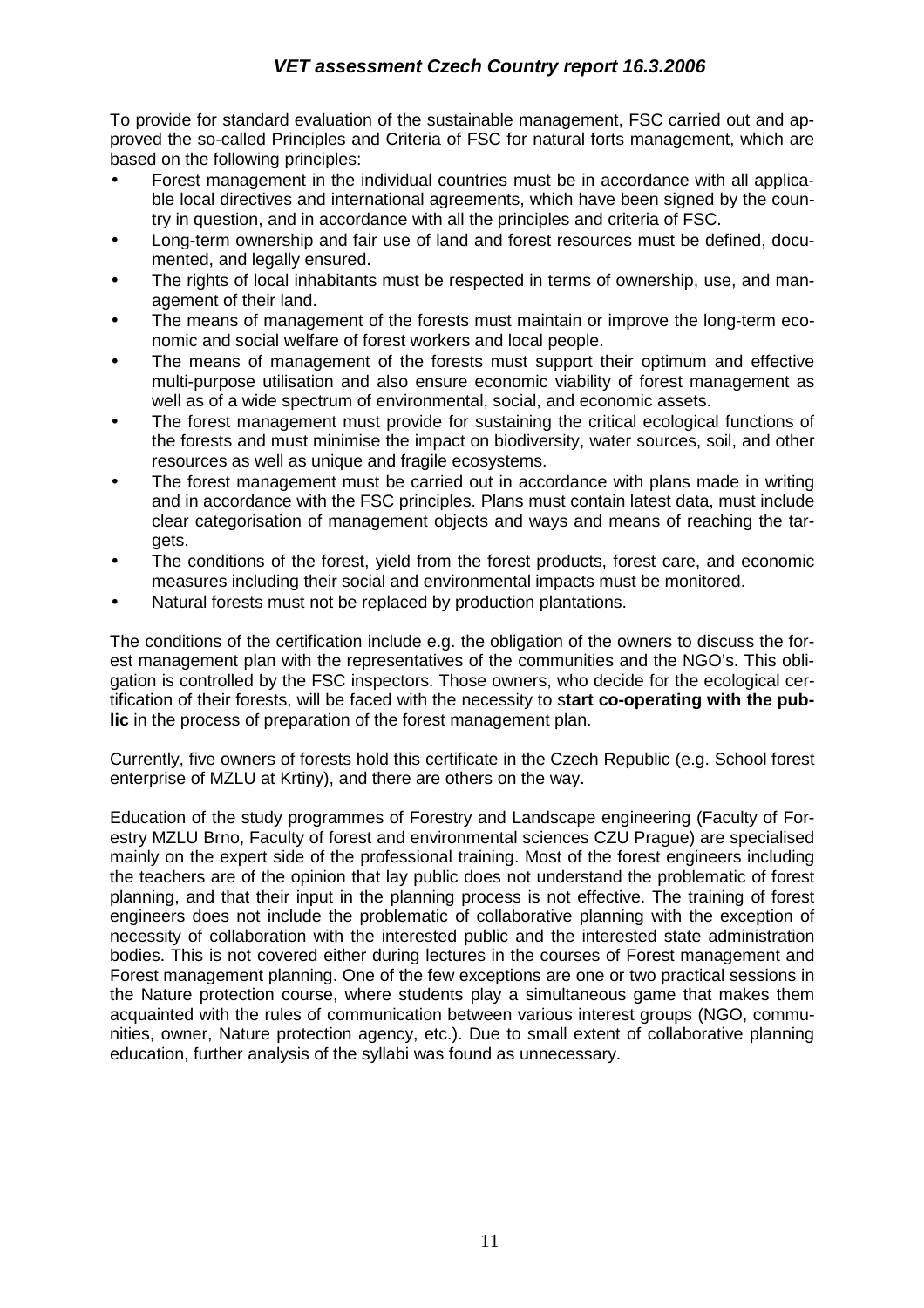To provide for standard evaluation of the sustainable management, FSC carried out and approved the so-called Principles and Criteria of FSC for natural forts management, which are based on the following principles:

- Forest management in the individual countries must be in accordance with all applicable local directives and international agreements, which have been signed by the country in question, and in accordance with all the principles and criteria of FSC.
- Long-term ownership and fair use of land and forest resources must be defined, documented, and legally ensured.
- The rights of local inhabitants must be respected in terms of ownership, use, and management of their land.
- The means of management of the forests must maintain or improve the long-term economic and social welfare of forest workers and local people.
- The means of management of the forests must support their optimum and effective multi-purpose utilisation and also ensure economic viability of forest management as well as of a wide spectrum of environmental, social, and economic assets.
- The forest management must provide for sustaining the critical ecological functions of the forests and must minimise the impact on biodiversity, water sources, soil, and other resources as well as unique and fragile ecosystems.
- The forest management must be carried out in accordance with plans made in writing and in accordance with the FSC principles. Plans must contain latest data, must include clear categorisation of management objects and ways and means of reaching the targets.
- The conditions of the forest, yield from the forest products, forest care, and economic measures including their social and environmental impacts must be monitored.
- Natural forests must not be replaced by production plantations.

The conditions of the certification include e.g. the obligation of the owners to discuss the forest management plan with the representatives of the communities and the NGO's. This obligation is controlled by the FSC inspectors. Those owners, who decide for the ecological certification of their forests, will be faced with the necessity to s**tart co-operating with the public** in the process of preparation of the forest management plan.

Currently, five owners of forests hold this certificate in the Czech Republic (e.g. School forest enterprise of MZLU at Krtiny), and there are others on the way.

Education of the study programmes of Forestry and Landscape engineering (Faculty of Forestry MZLU Brno, Faculty of forest and environmental sciences CZU Prague) are specialised mainly on the expert side of the professional training. Most of the forest engineers including the teachers are of the opinion that lay public does not understand the problematic of forest planning, and that their input in the planning process is not effective. The training of forest engineers does not include the problematic of collaborative planning with the exception of necessity of collaboration with the interested public and the interested state administration bodies. This is not covered either during lectures in the courses of Forest management and Forest management planning. One of the few exceptions are one or two practical sessions in the Nature protection course, where students play a simultaneous game that makes them acquainted with the rules of communication between various interest groups (NGO, communities, owner, Nature protection agency, etc.). Due to small extent of collaborative planning education, further analysis of the syllabi was found as unnecessary.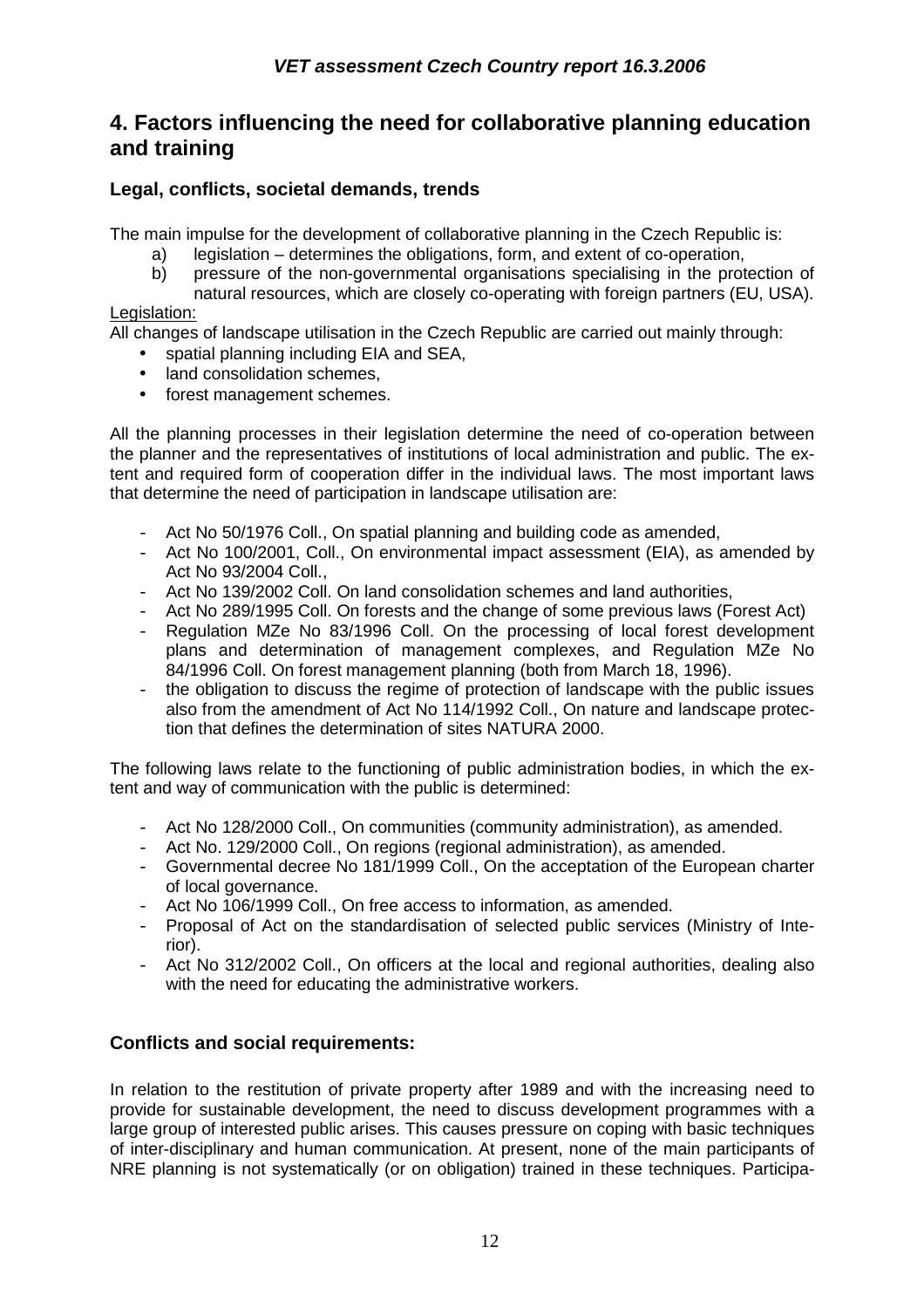## **4. Factors influencing the need for collaborative planning education and training**

## **Legal, conflicts, societal demands, trends**

The main impulse for the development of collaborative planning in the Czech Republic is:

- a) legislation determines the obligations, form, and extent of co-operation,
- b) pressure of the non-governmental organisations specialising in the protection of natural resources, which are closely co-operating with foreign partners (EU, USA).

#### Legislation:

All changes of landscape utilisation in the Czech Republic are carried out mainly through:

- spatial planning including EIA and SEA,
- land consolidation schemes.
- forest management schemes.

All the planning processes in their legislation determine the need of co-operation between the planner and the representatives of institutions of local administration and public. The extent and required form of cooperation differ in the individual laws. The most important laws that determine the need of participation in landscape utilisation are:

- Act No 50/1976 Coll., On spatial planning and building code as amended,
- Act No 100/2001, Coll., On environmental impact assessment (EIA), as amended by Act No 93/2004 Coll.,
- Act No 139/2002 Coll. On land consolidation schemes and land authorities,
- Act No 289/1995 Coll. On forests and the change of some previous laws (Forest Act)
- Regulation MZe No 83/1996 Coll. On the processing of local forest development plans and determination of management complexes, and Regulation MZe No 84/1996 Coll. On forest management planning (both from March 18, 1996).
- the obligation to discuss the regime of protection of landscape with the public issues also from the amendment of Act No 114/1992 Coll., On nature and landscape protection that defines the determination of sites NATURA 2000.

The following laws relate to the functioning of public administration bodies, in which the extent and way of communication with the public is determined:

- Act No 128/2000 Coll., On communities (community administration), as amended.
- Act No. 129/2000 Coll., On regions (regional administration), as amended.
- Governmental decree No 181/1999 Coll., On the acceptation of the European charter of local governance.
- Act No 106/1999 Coll., On free access to information, as amended.
- Proposal of Act on the standardisation of selected public services (Ministry of Interior).
- Act No 312/2002 Coll., On officers at the local and regional authorities, dealing also with the need for educating the administrative workers.

#### **Conflicts and social requirements:**

In relation to the restitution of private property after 1989 and with the increasing need to provide for sustainable development, the need to discuss development programmes with a large group of interested public arises. This causes pressure on coping with basic techniques of inter-disciplinary and human communication. At present, none of the main participants of NRE planning is not systematically (or on obligation) trained in these techniques. Participa-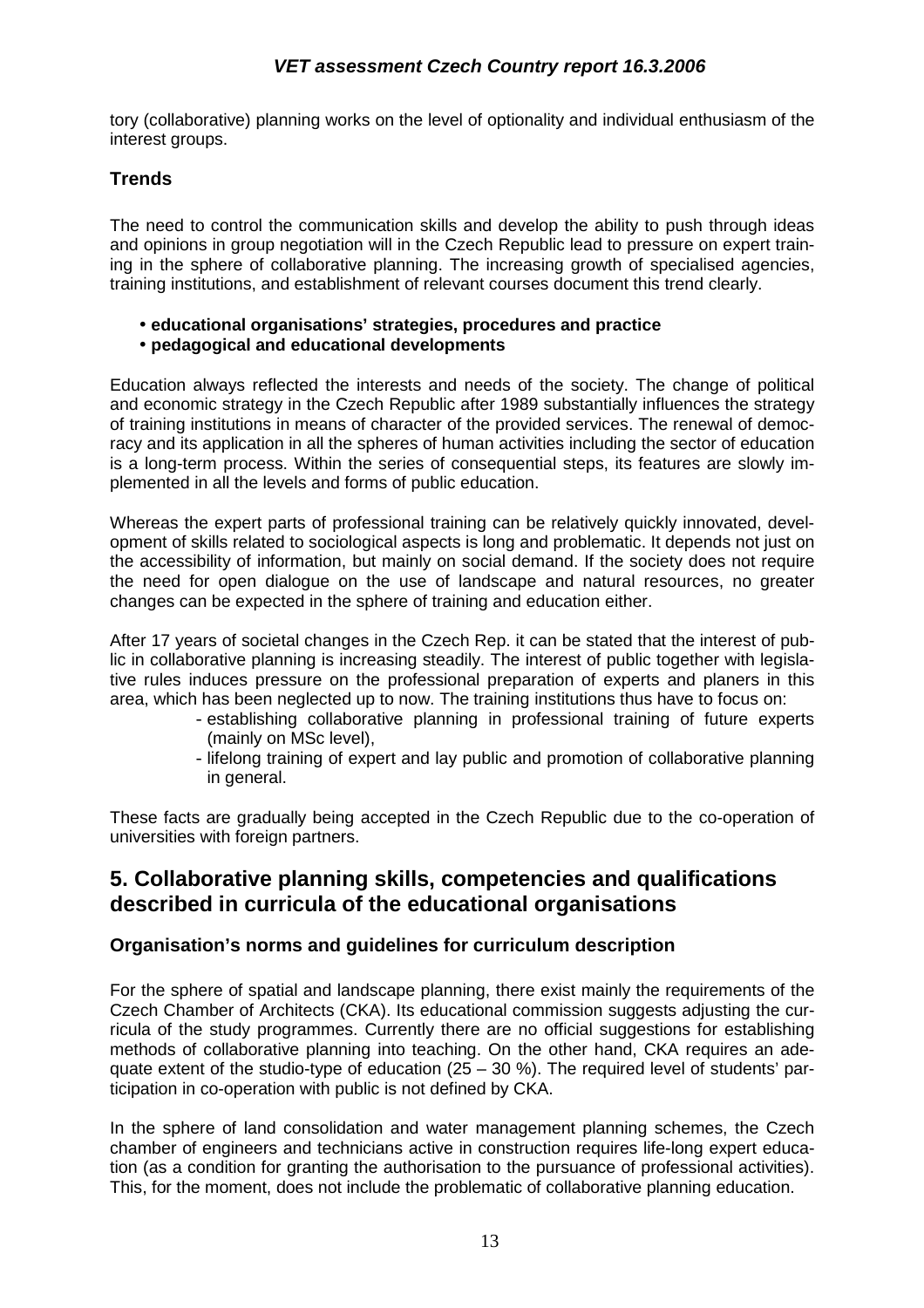tory (collaborative) planning works on the level of optionality and individual enthusiasm of the interest groups.

## **Trends**

The need to control the communication skills and develop the ability to push through ideas and opinions in group negotiation will in the Czech Republic lead to pressure on expert training in the sphere of collaborative planning. The increasing growth of specialised agencies, training institutions, and establishment of relevant courses document this trend clearly.

- **educational organisations' strategies, procedures and practice**
- **pedagogical and educational developments**

Education always reflected the interests and needs of the society. The change of political and economic strategy in the Czech Republic after 1989 substantially influences the strategy of training institutions in means of character of the provided services. The renewal of democracy and its application in all the spheres of human activities including the sector of education is a long-term process. Within the series of consequential steps, its features are slowly implemented in all the levels and forms of public education.

Whereas the expert parts of professional training can be relatively quickly innovated, development of skills related to sociological aspects is long and problematic. It depends not just on the accessibility of information, but mainly on social demand. If the society does not require the need for open dialogue on the use of landscape and natural resources, no greater changes can be expected in the sphere of training and education either.

After 17 years of societal changes in the Czech Rep. it can be stated that the interest of public in collaborative planning is increasing steadily. The interest of public together with legislative rules induces pressure on the professional preparation of experts and planers in this area, which has been neglected up to now. The training institutions thus have to focus on:

- establishing collaborative planning in professional training of future experts (mainly on MSc level),
- lifelong training of expert and lay public and promotion of collaborative planning in general.

These facts are gradually being accepted in the Czech Republic due to the co-operation of universities with foreign partners.

## **5. Collaborative planning skills, competencies and qualifications described in curricula of the educational organisations**

#### **Organisation's norms and guidelines for curriculum description**

For the sphere of spatial and landscape planning, there exist mainly the requirements of the Czech Chamber of Architects (CKA). Its educational commission suggests adjusting the curricula of the study programmes. Currently there are no official suggestions for establishing methods of collaborative planning into teaching. On the other hand, CKA requires an adequate extent of the studio-type of education  $(25 - 30 \%)$ . The required level of students' participation in co-operation with public is not defined by CKA.

In the sphere of land consolidation and water management planning schemes, the Czech chamber of engineers and technicians active in construction requires life-long expert education (as a condition for granting the authorisation to the pursuance of professional activities). This, for the moment, does not include the problematic of collaborative planning education.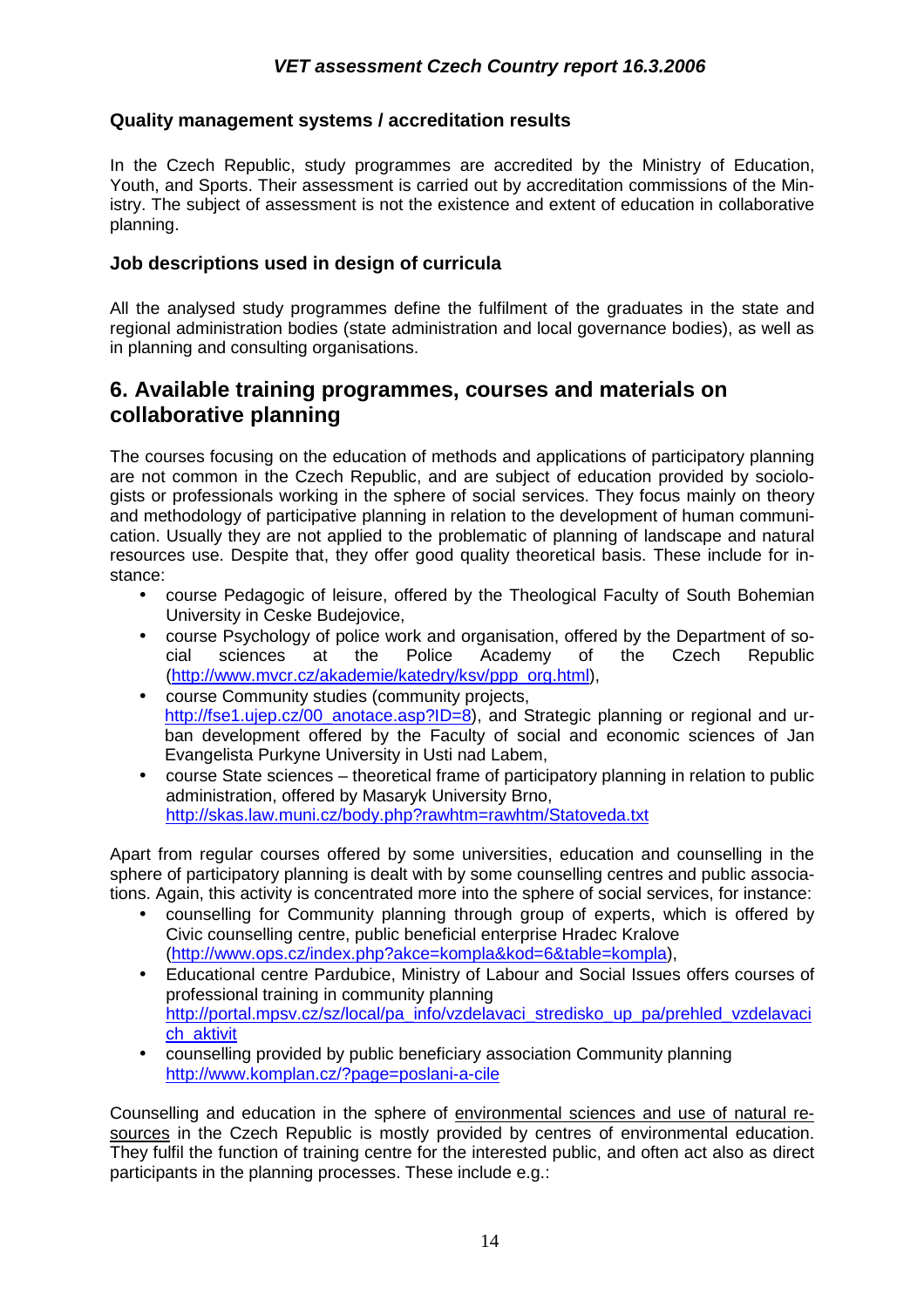### **Quality management systems / accreditation results**

In the Czech Republic, study programmes are accredited by the Ministry of Education, Youth, and Sports. Their assessment is carried out by accreditation commissions of the Ministry. The subject of assessment is not the existence and extent of education in collaborative planning.

#### **Job descriptions used in design of curricula**

All the analysed study programmes define the fulfilment of the graduates in the state and regional administration bodies (state administration and local governance bodies), as well as in planning and consulting organisations.

## **6. Available training programmes, courses and materials on collaborative planning**

The courses focusing on the education of methods and applications of participatory planning are not common in the Czech Republic, and are subject of education provided by sociologists or professionals working in the sphere of social services. They focus mainly on theory and methodology of participative planning in relation to the development of human communication. Usually they are not applied to the problematic of planning of landscape and natural resources use. Despite that, they offer good quality theoretical basis. These include for instance:

- course Pedagogic of leisure, offered by the Theological Faculty of South Bohemian University in Ceske Budejovice,
- course Psychology of police work and organisation, offered by the Department of social sciences at the Police Academy of the Czech Republic (http://www.mvcr.cz/akademie/katedry/ksv/ppp\_org.html),
- course Community studies (community projects, http://fse1.ujep.cz/00\_anotace.asp?ID=8), and Strategic planning or regional and urban development offered by the Faculty of social and economic sciences of Jan Evangelista Purkyne University in Usti nad Labem,
- course State sciences theoretical frame of participatory planning in relation to public administration, offered by Masaryk University Brno, http://skas.law.muni.cz/body.php?rawhtm=rawhtm/Statoveda.txt

Apart from regular courses offered by some universities, education and counselling in the sphere of participatory planning is dealt with by some counselling centres and public associations. Again, this activity is concentrated more into the sphere of social services, for instance:

- counselling for Community planning through group of experts, which is offered by Civic counselling centre, public beneficial enterprise Hradec Kralove (http://www.ops.cz/index.php?akce=kompla&kod=6&table=kompla),
- Educational centre Pardubice, Ministry of Labour and Social Issues offers courses of professional training in community planning http://portal.mpsv.cz/sz/local/pa\_info/vzdelavaci\_stredisko\_up\_pa/prehled\_vzdelavaci ch\_aktivit
- counselling provided by public beneficiary association Community planning http://www.komplan.cz/?page=poslani-a-cile

Counselling and education in the sphere of environmental sciences and use of natural resources in the Czech Republic is mostly provided by centres of environmental education. They fulfil the function of training centre for the interested public, and often act also as direct participants in the planning processes. These include e.g.: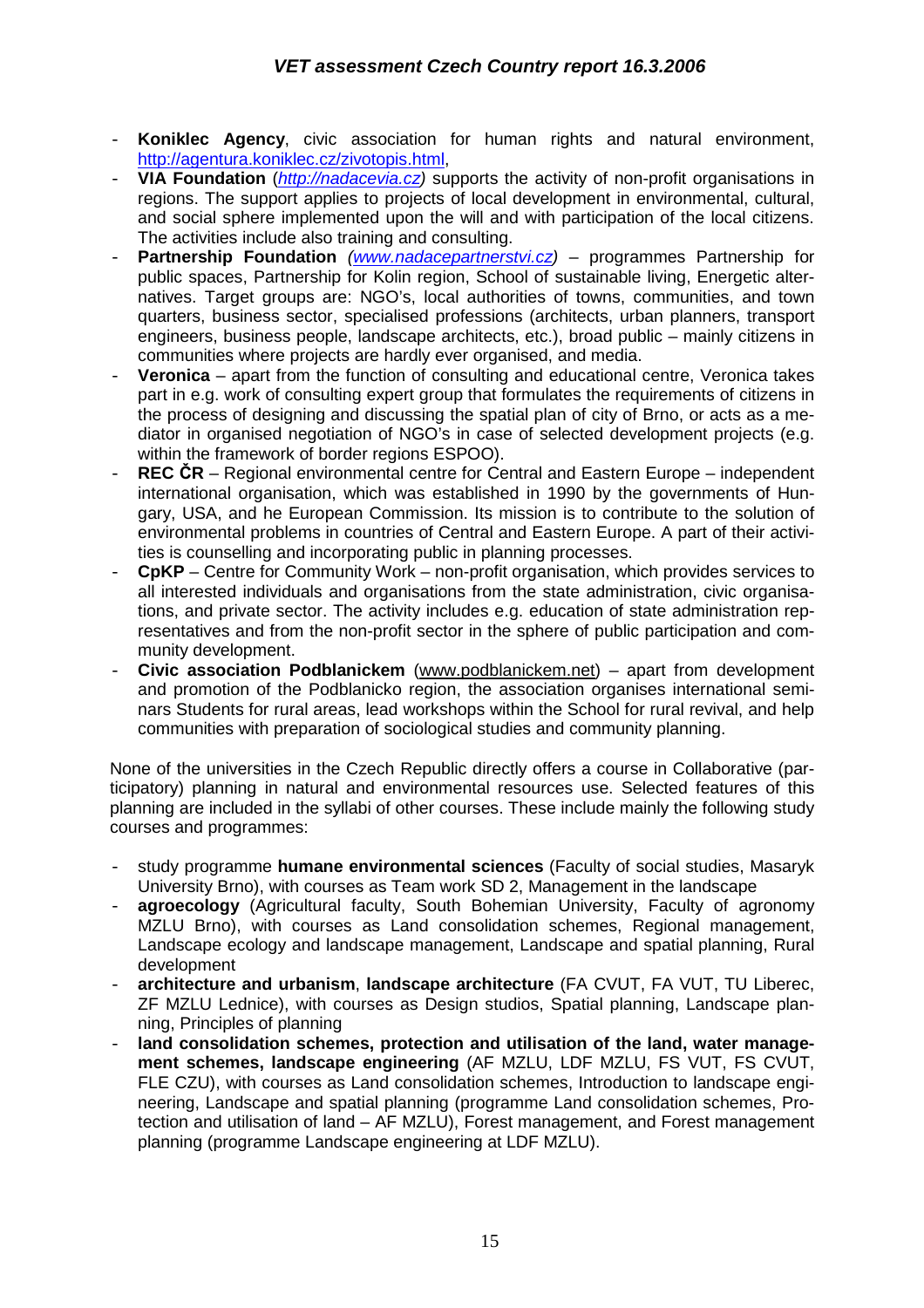- **Koniklec Agency**, civic association for human rights and natural environment, http://agentura.koniklec.cz/zivotopis.html,
- **VIA Foundation** (http://nadacevia.cz) supports the activity of non-profit organisations in regions. The support applies to projects of local development in environmental, cultural, and social sphere implemented upon the will and with participation of the local citizens. The activities include also training and consulting.
- **Partnership Foundation** (www.nadacepartnerstvi.cz) programmes Partnership for public spaces, Partnership for Kolin region, School of sustainable living, Energetic alternatives. Target groups are: NGO's, local authorities of towns, communities, and town quarters, business sector, specialised professions (architects, urban planners, transport engineers, business people, landscape architects, etc.), broad public – mainly citizens in communities where projects are hardly ever organised, and media.
- **Veronica** apart from the function of consulting and educational centre, Veronica takes part in e.g. work of consulting expert group that formulates the requirements of citizens in the process of designing and discussing the spatial plan of city of Brno, or acts as a mediator in organised negotiation of NGO's in case of selected development projects (e.g. within the framework of border regions ESPOO).
- **REC ČR** Regional environmental centre for Central and Eastern Europe independent international organisation, which was established in 1990 by the governments of Hungary, USA, and he European Commission. Its mission is to contribute to the solution of environmental problems in countries of Central and Eastern Europe. A part of their activities is counselling and incorporating public in planning processes.
- **CpKP** Centre for Community Work non-profit organisation, which provides services to all interested individuals and organisations from the state administration, civic organisations, and private sector. The activity includes e.g. education of state administration representatives and from the non-profit sector in the sphere of public participation and community development.
- **Civic association Podblanickem** (www.podblanickem.net) apart from development and promotion of the Podblanicko region, the association organises international seminars Students for rural areas, lead workshops within the School for rural revival, and help communities with preparation of sociological studies and community planning.

None of the universities in the Czech Republic directly offers a course in Collaborative (participatory) planning in natural and environmental resources use. Selected features of this planning are included in the syllabi of other courses. These include mainly the following study courses and programmes:

- study programme **humane environmental sciences** (Faculty of social studies, Masaryk University Brno), with courses as Team work SD 2, Management in the landscape
- agroecology (Agricultural faculty, South Bohemian University, Faculty of agronomy MZLU Brno), with courses as Land consolidation schemes, Regional management, Landscape ecology and landscape management, Landscape and spatial planning, Rural development
- **architecture and urbanism**, **landscape architecture** (FA CVUT, FA VUT, TU Liberec, ZF MZLU Lednice), with courses as Design studios, Spatial planning, Landscape planning, Principles of planning
- land consolidation schemes, protection and utilisation of the land, water manage**ment schemes, landscape engineering** (AF MZLU, LDF MZLU, FS VUT, FS CVUT, FLE CZU), with courses as Land consolidation schemes, Introduction to landscape engineering, Landscape and spatial planning (programme Land consolidation schemes, Protection and utilisation of land – AF MZLU), Forest management, and Forest management planning (programme Landscape engineering at LDF MZLU).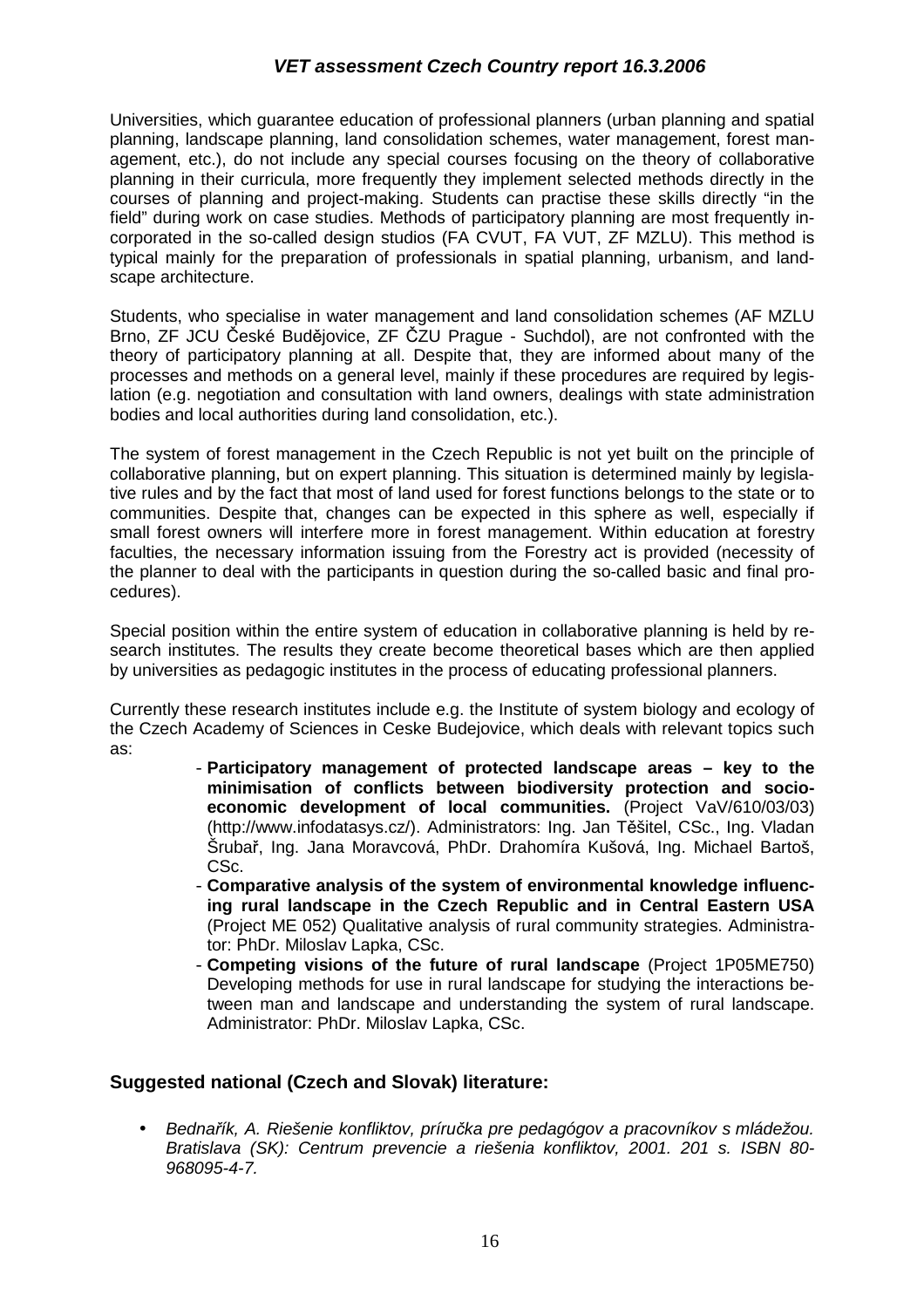Universities, which guarantee education of professional planners (urban planning and spatial planning, landscape planning, land consolidation schemes, water management, forest management, etc.), do not include any special courses focusing on the theory of collaborative planning in their curricula, more frequently they implement selected methods directly in the courses of planning and project-making. Students can practise these skills directly "in the field" during work on case studies. Methods of participatory planning are most frequently incorporated in the so-called design studios (FA CVUT, FA VUT, ZF MZLU). This method is typical mainly for the preparation of professionals in spatial planning, urbanism, and landscape architecture.

Students, who specialise in water management and land consolidation schemes (AF MZLU Brno, ZF JCU České Budějovice, ZF ČZU Prague - Suchdol), are not confronted with the theory of participatory planning at all. Despite that, they are informed about many of the processes and methods on a general level, mainly if these procedures are required by legislation (e.g. negotiation and consultation with land owners, dealings with state administration bodies and local authorities during land consolidation, etc.).

The system of forest management in the Czech Republic is not yet built on the principle of collaborative planning, but on expert planning. This situation is determined mainly by legislative rules and by the fact that most of land used for forest functions belongs to the state or to communities. Despite that, changes can be expected in this sphere as well, especially if small forest owners will interfere more in forest management. Within education at forestry faculties, the necessary information issuing from the Forestry act is provided (necessity of the planner to deal with the participants in question during the so-called basic and final procedures).

Special position within the entire system of education in collaborative planning is held by research institutes. The results they create become theoretical bases which are then applied by universities as pedagogic institutes in the process of educating professional planners.

Currently these research institutes include e.g. the Institute of system biology and ecology of the Czech Academy of Sciences in Ceske Budejovice, which deals with relevant topics such as:

- **Participatory management of protected landscape areas key to the minimisation of conflicts between biodiversity protection and socioeconomic development of local communities.** (Project VaV/610/03/03) (http://www.infodatasys.cz/). Administrators: Ing. Jan Těšitel, CSc., Ing. Vladan Šrubař, Ing. Jana Moravcová, PhDr. Drahomíra Kušová, Ing. Michael Bartoš, C<sub>Sc</sub>.
- **Comparative analysis of the system of environmental knowledge influencing rural landscape in the Czech Republic and in Central Eastern USA**  (Project ME 052) Qualitative analysis of rural community strategies. Administrator: PhDr. Miloslav Lapka, CSc.
- **Competing visions of the future of rural landscape** (Project 1P05ME750) Developing methods for use in rural landscape for studying the interactions between man and landscape and understanding the system of rural landscape. Administrator: PhDr. Miloslav Lapka, CSc.

#### **Suggested national (Czech and Slovak) literature:**

• Bednařík, A. Riešenie konfliktov, príručka pre pedagógov a pracovníkov s mládežou. Bratislava (SK): Centrum prevencie a riešenia konfliktov, 2001. 201 s. ISBN 80- 968095-4-7.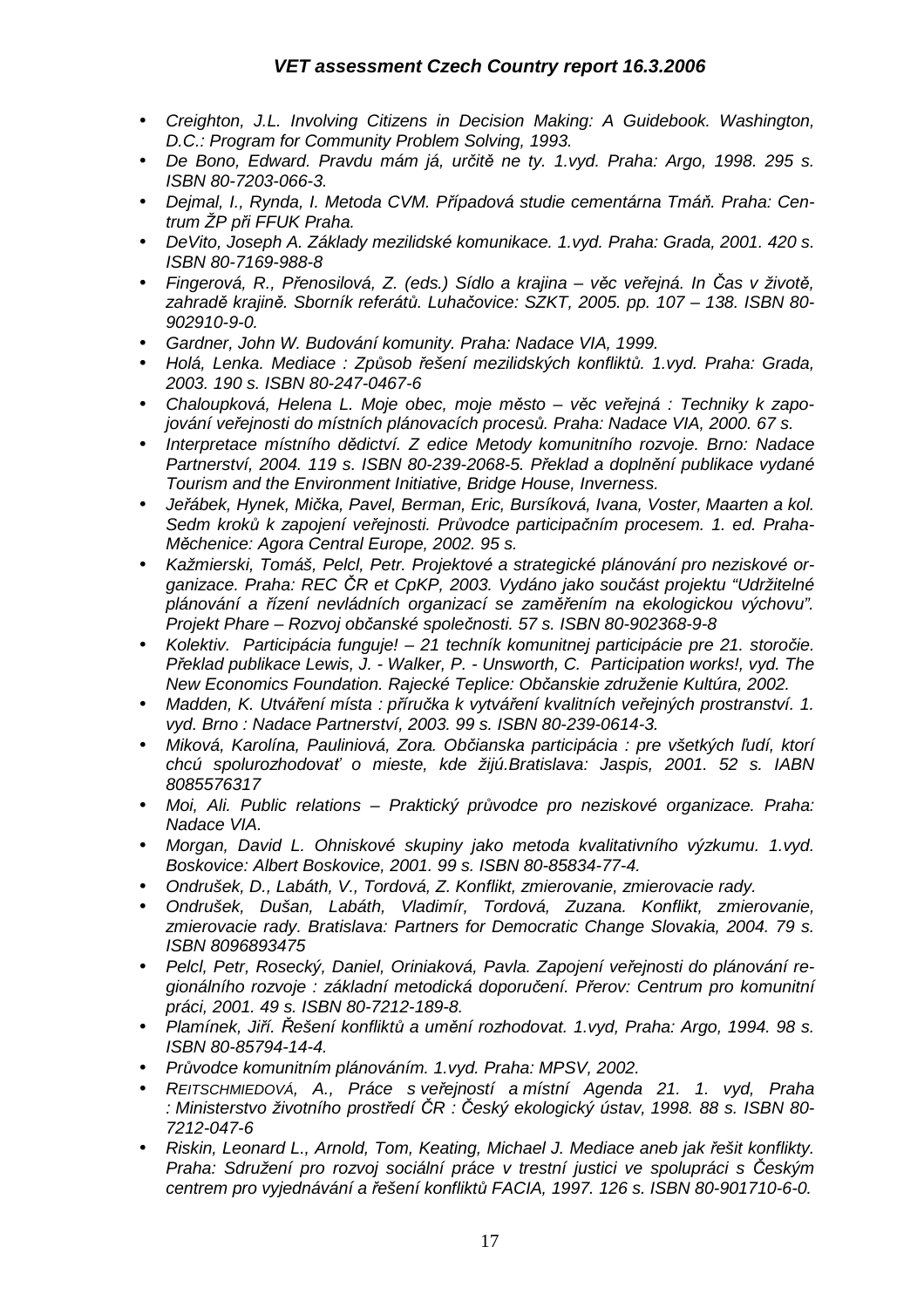- Creighton, J.L. Involving Citizens in Decision Making: A Guidebook. Washington, D.C.: Program for Community Problem Solving, 1993.
- De Bono, Edward. Pravdu mám já, určitě ne ty. 1.vyd. Praha: Argo, 1998. 295 s. ISBN 80-7203-066-3.
- Dejmal, I., Rynda, I. Metoda CVM. Případová studie cementárna Tmáň. Praha: Centrum ŽP při FFUK Praha.
- DeVito, Joseph A. Základy mezilidské komunikace. 1.vyd. Praha: Grada, 2001. 420 s. ISBN 80-7169-988-8
- Fingerová, R., Přenosilová, Z. (eds.) Sídlo a krajina věc veřejná. In Čas v životě, zahradě krajině. Sborník referátů. Luhačovice: SZKT, 2005. pp. 107 – 138. ISBN 80- 902910-9-0.
- Gardner, John W. Budování komunity. Praha: Nadace VIA, 1999.
- Holá, Lenka. Mediace : Způsob řešení mezilidských konfliktů. 1.vyd. Praha: Grada, 2003. 190 s. ISBN 80-247-0467-6
- Chaloupková, Helena L. Moje obec, moje město věc veřejná : Techniky k zapojování veřejnosti do místních plánovacích procesů. Praha: Nadace VIA, 2000. 67 s.
- Interpretace místního dědictví. Z edice Metody komunitního rozvoje. Brno: Nadace Partnerství, 2004. 119 s. ISBN 80-239-2068-5. Překlad a doplnění publikace vydané Tourism and the Environment Initiative, Bridge House, Inverness.
- Jeřábek, Hynek, Mička, Pavel, Berman, Eric, Bursíková, Ivana, Voster, Maarten a kol. Sedm kroků k zapojení veřejnosti. Průvodce participačním procesem. 1. ed. Praha-Měchenice: Agora Central Europe, 2002. 95 s.
- Kažmierski, Tomáš, Pelcl, Petr. Projektové a strategické plánování pro neziskové organizace. Praha: REC ČR et CpKP, 2003. Vydáno jako součást projektu "Udržitelné plánování a řízení nevládních organizací se zaměřením na ekologickou výchovu". Projekt Phare – Rozvoj občanské společnosti. 57 s. ISBN 80-902368-9-8
- Kolektiv. Participácia funguje! 21 techník komunitnej participácie pre 21. storočie. Překlad publikace Lewis, J. - Walker, P. - Unsworth, C. Participation works!, vyd. The New Economics Foundation. Rajecké Teplice: Občanskie združenie Kultúra, 2002.
- Madden, K. Utváření místa : příručka k vytváření kvalitních veřejných prostranství. 1. vyd. Brno : Nadace Partnerství, 2003. 99 s. ISBN 80-239-0614-3.
- Miková, Karolína, Pauliniová, Zora. Občianska participácia : pre všetkých ľudí, ktorí chcú spolurozhodovať o mieste, kde žijú.Bratislava: Jaspis, 2001. 52 s. IABN 8085576317
- Moi, Ali. Public relations Praktický průvodce pro neziskové organizace. Praha: Nadace VIA.
- Morgan, David L. Ohniskové skupiny jako metoda kvalitativního výzkumu. 1.vyd. Boskovice: Albert Boskovice, 2001. 99 s. ISBN 80-85834-77-4.
- Ondrušek, D., Labáth, V., Tordová, Z. Konflikt, zmierovanie, zmierovacie rady.
- Ondrušek, Dušan, Labáth, Vladimír, Tordová, Zuzana. Konflikt, zmierovanie, zmierovacie rady. Bratislava: Partners for Democratic Change Slovakia, 2004. 79 s. ISBN 8096893475
- Pelcl, Petr, Rosecký, Daniel, Oriniaková, Pavla. Zapojení veřejnosti do plánování regionálního rozvoje : základní metodická doporučení. Přerov: Centrum pro komunitní práci, 2001. 49 s. ISBN 80-7212-189-8.
- Plamínek, Jiří. Řešení konfliktů a umění rozhodovat. 1.vyd, Praha: Argo, 1994. 98 s. ISBN 80-85794-14-4.
- Průvodce komunitním plánováním. 1.vyd. Praha: MPSV, 2002.
- REITSCHMIEDOVÁ, A., Práce s veřejností a místní Agenda 21. 1. vyd, Praha : Ministerstvo životního prostředí ČR : Český ekologický ústav, 1998. 88 s. ISBN 80- 7212-047-6
- Riskin, Leonard L., Arnold, Tom, Keating, Michael J. Mediace aneb jak řešit konflikty. Praha: Sdružení pro rozvoj sociální práce v trestní justici ve spolupráci s Českým centrem pro vyjednávání a řešení konfliktů FACIA, 1997. 126 s. ISBN 80-901710-6-0.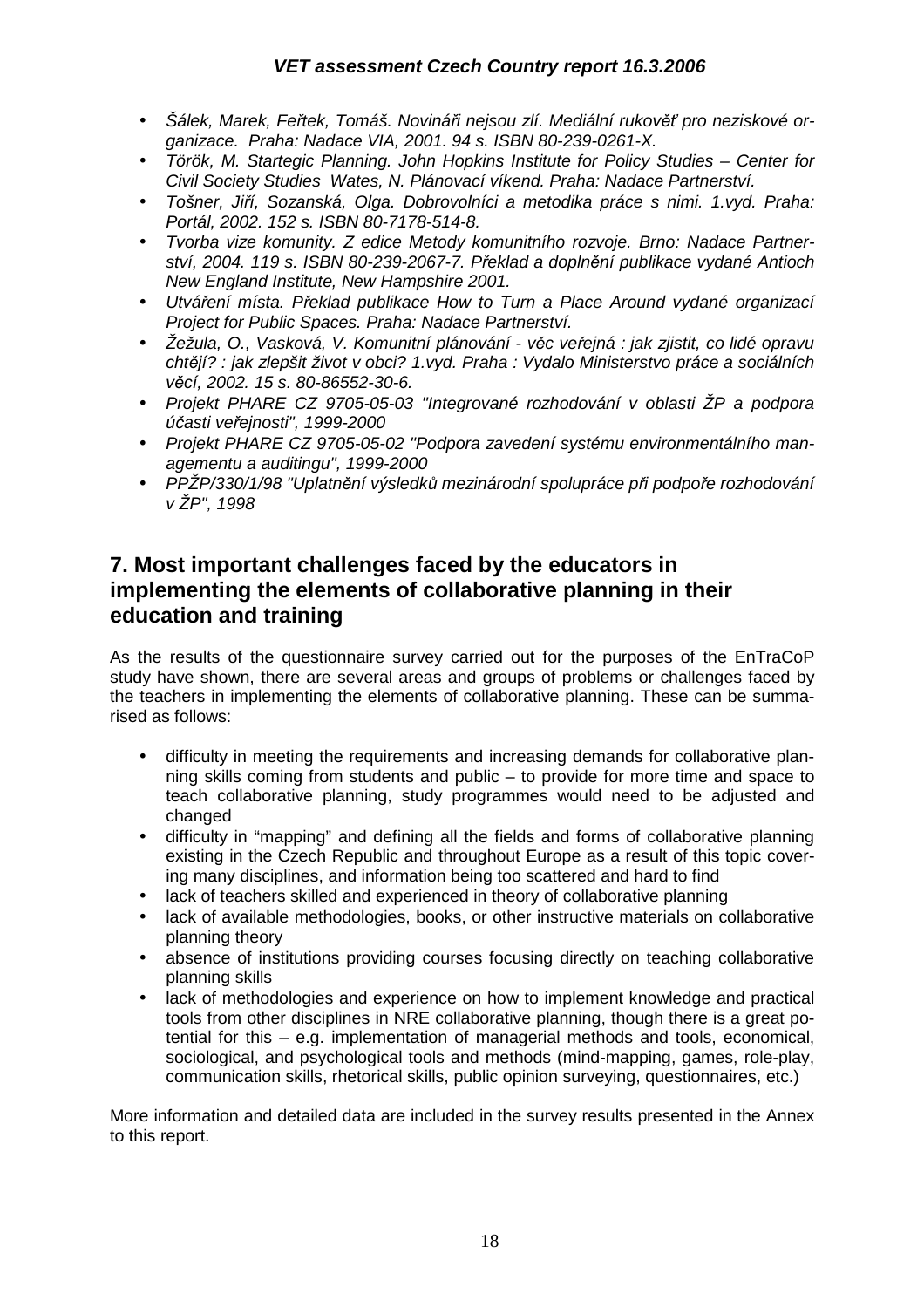- Šálek, Marek, Feřtek, Tomáš. Novináři nejsou zlí. Mediální rukověť pro neziskové organizace. Praha: Nadace VIA, 2001. 94 s. ISBN 80-239-0261-X.
- Török, M. Startegic Planning. John Hopkins Institute for Policy Studies Center for Civil Society Studies Wates, N. Plánovací víkend. Praha: Nadace Partnerství.
- Tošner, Jiří, Sozanská, Olga. Dobrovolníci a metodika práce s nimi. 1.vyd. Praha: Portál, 2002. 152 s. ISBN 80-7178-514-8.
- Tvorba vize komunity. Z edice Metody komunitního rozvoje. Brno: Nadace Partnerství, 2004. 119 s. ISBN 80-239-2067-7. Překlad a doplnění publikace vydané Antioch New England Institute, New Hampshire 2001.
- Utváření místa. Překlad publikace How to Turn a Place Around vydané organizací Project for Public Spaces. Praha: Nadace Partnerství.
- Žežula, O., Vasková, V. Komunitní plánování věc veřejná : jak zjistit, co lidé opravu chtějí? : jak zlepšit život v obci? 1.vyd. Praha : Vydalo Ministerstvo práce a sociálních věcí, 2002. 15 s. 80-86552-30-6.
- Projekt PHARE CZ 9705-05-03 "Integrované rozhodování v oblasti ŽP a podpora účasti veřejnosti", 1999-2000
- Projekt PHARE CZ 9705-05-02 "Podpora zavedení systému environmentálního managementu a auditingu", 1999-2000
- PPŽP/330/1/98 "Uplatnění výsledků mezinárodní spolupráce při podpoře rozhodování v ŽP", 1998

## **7. Most important challenges faced by the educators in implementing the elements of collaborative planning in their education and training**

As the results of the questionnaire survey carried out for the purposes of the EnTraCoP study have shown, there are several areas and groups of problems or challenges faced by the teachers in implementing the elements of collaborative planning. These can be summarised as follows:

- difficulty in meeting the requirements and increasing demands for collaborative planning skills coming from students and public – to provide for more time and space to teach collaborative planning, study programmes would need to be adjusted and changed
- difficulty in "mapping" and defining all the fields and forms of collaborative planning existing in the Czech Republic and throughout Europe as a result of this topic covering many disciplines, and information being too scattered and hard to find
- lack of teachers skilled and experienced in theory of collaborative planning
- lack of available methodologies, books, or other instructive materials on collaborative planning theory
- absence of institutions providing courses focusing directly on teaching collaborative planning skills
- lack of methodologies and experience on how to implement knowledge and practical tools from other disciplines in NRE collaborative planning, though there is a great potential for this – e.g. implementation of managerial methods and tools, economical, sociological, and psychological tools and methods (mind-mapping, games, role-play, communication skills, rhetorical skills, public opinion surveying, questionnaires, etc.)

More information and detailed data are included in the survey results presented in the Annex to this report.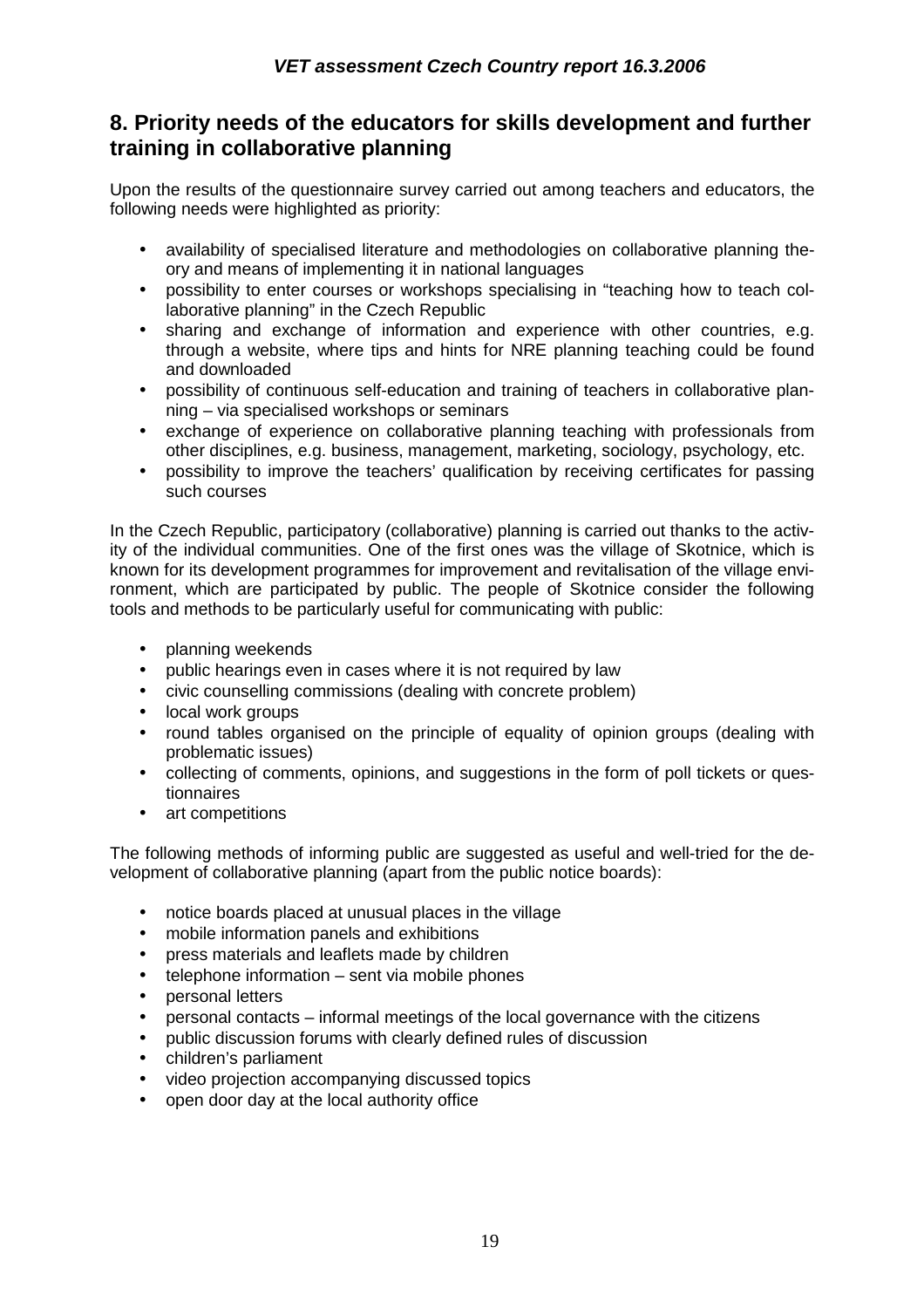## **8. Priority needs of the educators for skills development and further training in collaborative planning**

Upon the results of the questionnaire survey carried out among teachers and educators, the following needs were highlighted as priority:

- availability of specialised literature and methodologies on collaborative planning theory and means of implementing it in national languages
- possibility to enter courses or workshops specialising in "teaching how to teach collaborative planning" in the Czech Republic
- sharing and exchange of information and experience with other countries, e.g. through a website, where tips and hints for NRE planning teaching could be found and downloaded
- possibility of continuous self-education and training of teachers in collaborative planning – via specialised workshops or seminars
- exchange of experience on collaborative planning teaching with professionals from other disciplines, e.g. business, management, marketing, sociology, psychology, etc.
- possibility to improve the teachers' qualification by receiving certificates for passing such courses

In the Czech Republic, participatory (collaborative) planning is carried out thanks to the activity of the individual communities. One of the first ones was the village of Skotnice, which is known for its development programmes for improvement and revitalisation of the village environment, which are participated by public. The people of Skotnice consider the following tools and methods to be particularly useful for communicating with public:

- planning weekends
- public hearings even in cases where it is not required by law
- civic counselling commissions (dealing with concrete problem)
- local work groups
- round tables organised on the principle of equality of opinion groups (dealing with problematic issues)
- collecting of comments, opinions, and suggestions in the form of poll tickets or questionnaires
- art competitions

The following methods of informing public are suggested as useful and well-tried for the development of collaborative planning (apart from the public notice boards):

- notice boards placed at unusual places in the village
- mobile information panels and exhibitions
- press materials and leaflets made by children
- $telephone information sent via mobile phones$
- personal letters
- personal contacts informal meetings of the local governance with the citizens
- public discussion forums with clearly defined rules of discussion
- children's parliament
- video projection accompanying discussed topics
- open door day at the local authority office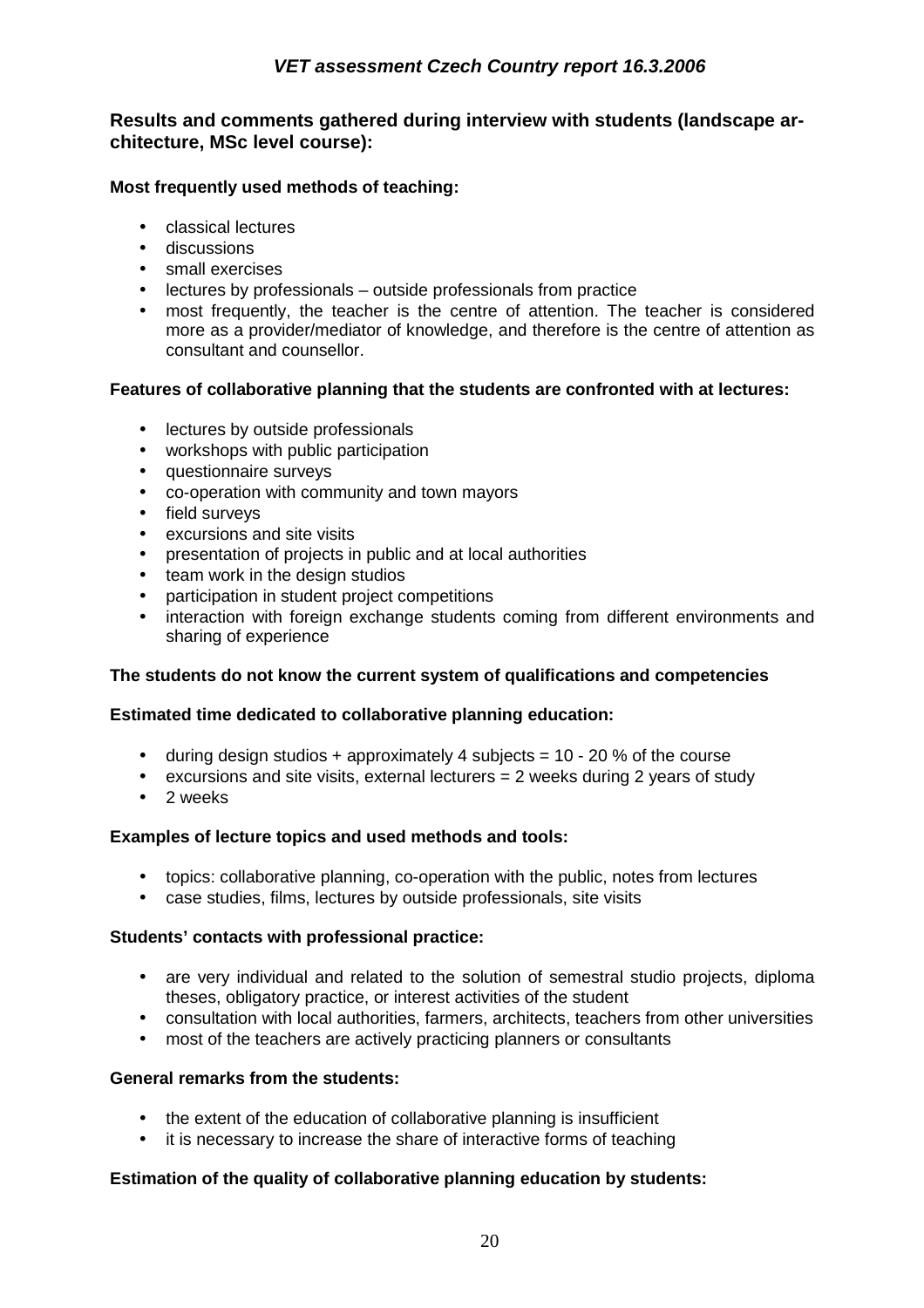### **Results and comments gathered during interview with students (landscape architecture, MSc level course):**

#### **Most frequently used methods of teaching:**

- classical lectures
- discussions
- small exercises
- lectures by professionals outside professionals from practice
- most frequently, the teacher is the centre of attention. The teacher is considered more as a provider/mediator of knowledge, and therefore is the centre of attention as consultant and counsellor.

#### **Features of collaborative planning that the students are confronted with at lectures:**

- lectures by outside professionals
- workshops with public participation
- questionnaire surveys
- co-operation with community and town mayors
- field surveys
- excursions and site visits
- presentation of projects in public and at local authorities
- team work in the design studios
- participation in student project competitions
- interaction with foreign exchange students coming from different environments and sharing of experience

#### **The students do not know the current system of qualifications and competencies**

#### **Estimated time dedicated to collaborative planning education:**

- during design studios + approximately 4 subjects =  $10 20$  % of the course
- $\bullet$  excursions and site visits, external lecturers  $= 2$  weeks during 2 years of study
- 2 weeks

#### **Examples of lecture topics and used methods and tools:**

- topics: collaborative planning, co-operation with the public, notes from lectures
- case studies, films, lectures by outside professionals, site visits

#### **Students' contacts with professional practice:**

- are very individual and related to the solution of semestral studio projects, diploma theses, obligatory practice, or interest activities of the student
- consultation with local authorities, farmers, architects, teachers from other universities
- most of the teachers are actively practicing planners or consultants

#### **General remarks from the students:**

- the extent of the education of collaborative planning is insufficient
- it is necessary to increase the share of interactive forms of teaching

#### **Estimation of the quality of collaborative planning education by students:**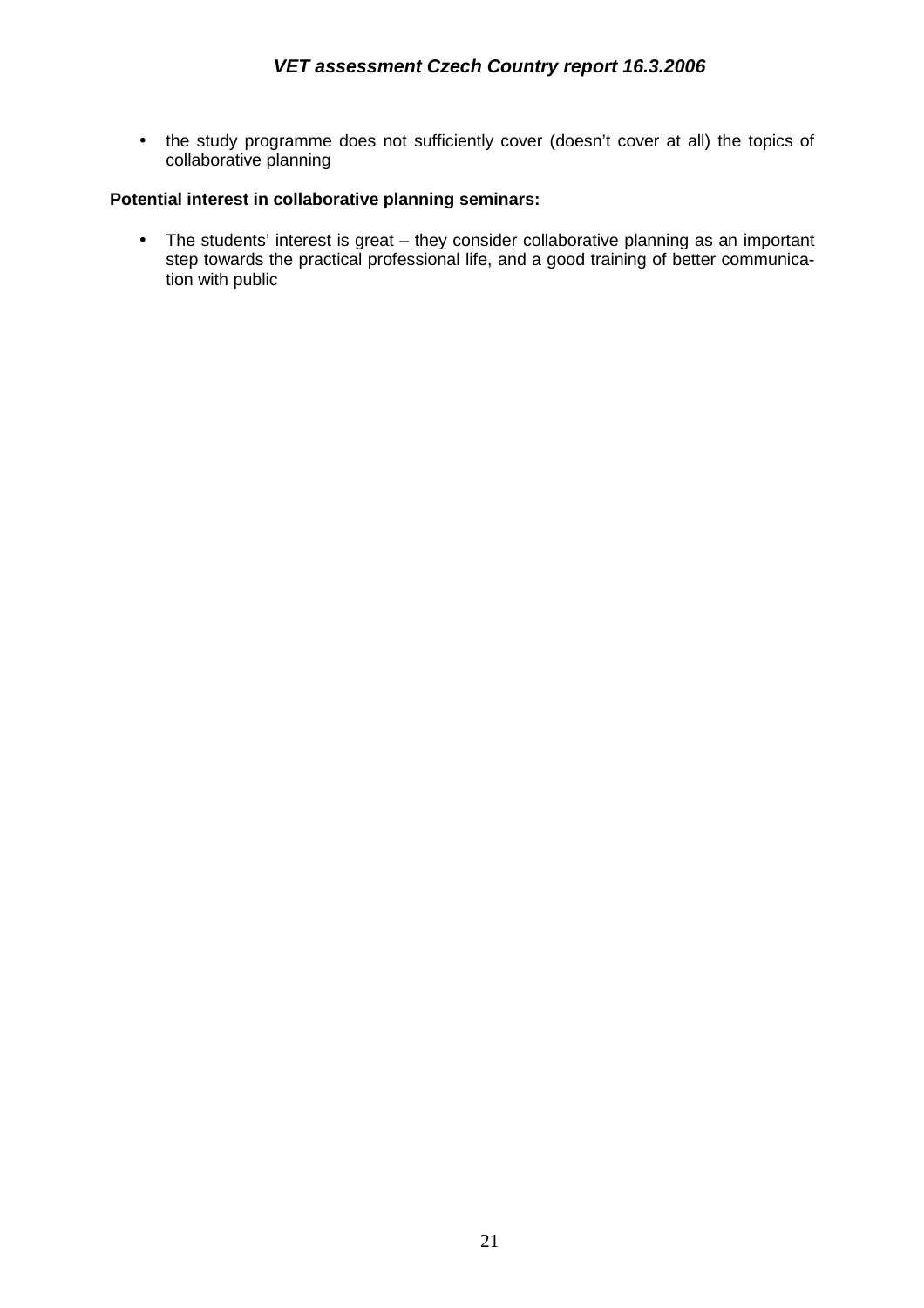• the study programme does not sufficiently cover (doesn't cover at all) the topics of collaborative planning

#### **Potential interest in collaborative planning seminars:**

• The students' interest is great – they consider collaborative planning as an important step towards the practical professional life, and a good training of better communication with public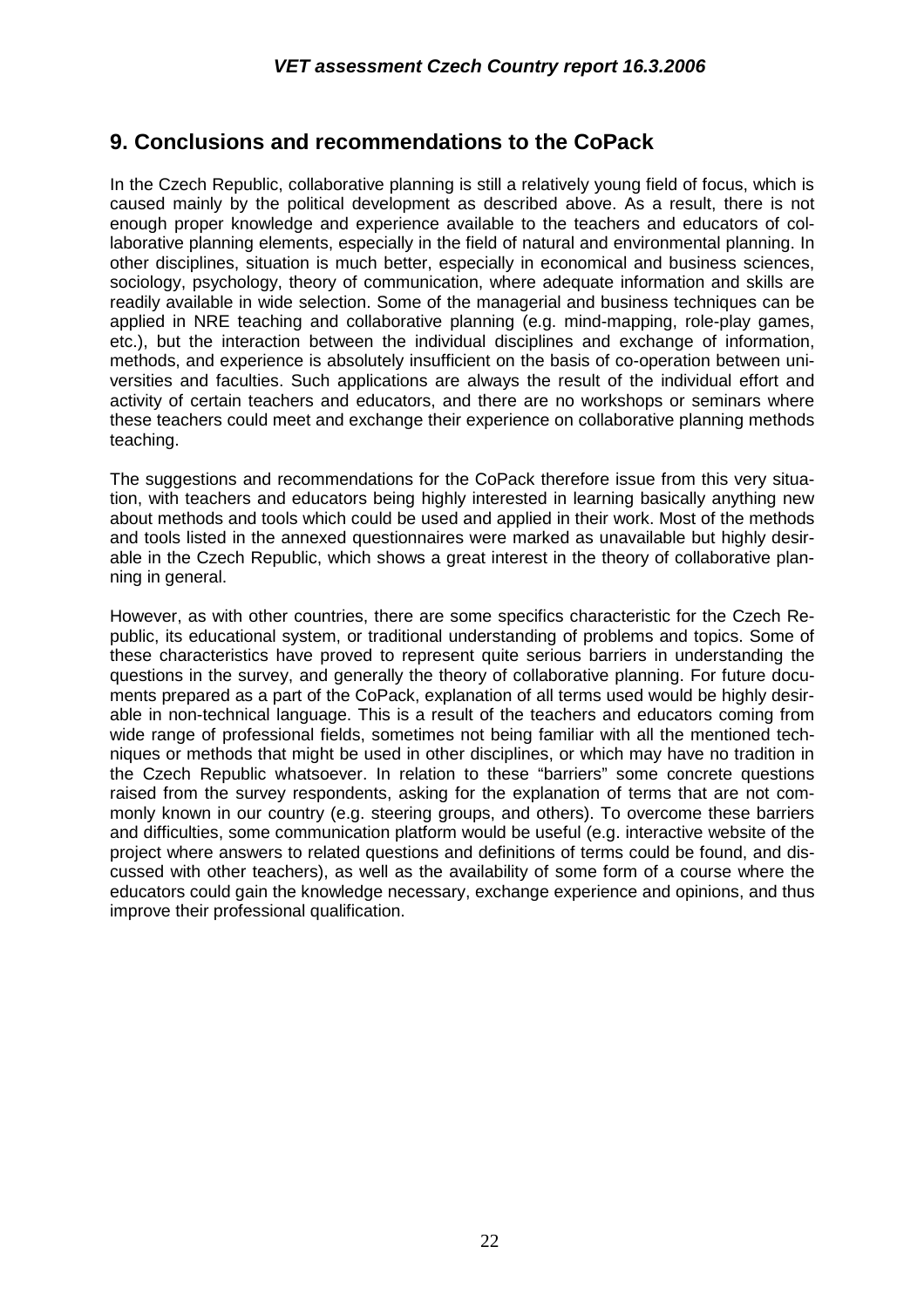## **9. Conclusions and recommendations to the CoPack**

In the Czech Republic, collaborative planning is still a relatively young field of focus, which is caused mainly by the political development as described above. As a result, there is not enough proper knowledge and experience available to the teachers and educators of collaborative planning elements, especially in the field of natural and environmental planning. In other disciplines, situation is much better, especially in economical and business sciences, sociology, psychology, theory of communication, where adequate information and skills are readily available in wide selection. Some of the managerial and business techniques can be applied in NRE teaching and collaborative planning (e.g. mind-mapping, role-play games, etc.), but the interaction between the individual disciplines and exchange of information, methods, and experience is absolutely insufficient on the basis of co-operation between universities and faculties. Such applications are always the result of the individual effort and activity of certain teachers and educators, and there are no workshops or seminars where these teachers could meet and exchange their experience on collaborative planning methods teaching.

The suggestions and recommendations for the CoPack therefore issue from this very situation, with teachers and educators being highly interested in learning basically anything new about methods and tools which could be used and applied in their work. Most of the methods and tools listed in the annexed questionnaires were marked as unavailable but highly desirable in the Czech Republic, which shows a great interest in the theory of collaborative planning in general.

However, as with other countries, there are some specifics characteristic for the Czech Republic, its educational system, or traditional understanding of problems and topics. Some of these characteristics have proved to represent quite serious barriers in understanding the questions in the survey, and generally the theory of collaborative planning. For future documents prepared as a part of the CoPack, explanation of all terms used would be highly desirable in non-technical language. This is a result of the teachers and educators coming from wide range of professional fields, sometimes not being familiar with all the mentioned techniques or methods that might be used in other disciplines, or which may have no tradition in the Czech Republic whatsoever. In relation to these "barriers" some concrete questions raised from the survey respondents, asking for the explanation of terms that are not commonly known in our country (e.g. steering groups, and others). To overcome these barriers and difficulties, some communication platform would be useful (e.g. interactive website of the project where answers to related questions and definitions of terms could be found, and discussed with other teachers), as well as the availability of some form of a course where the educators could gain the knowledge necessary, exchange experience and opinions, and thus improve their professional qualification.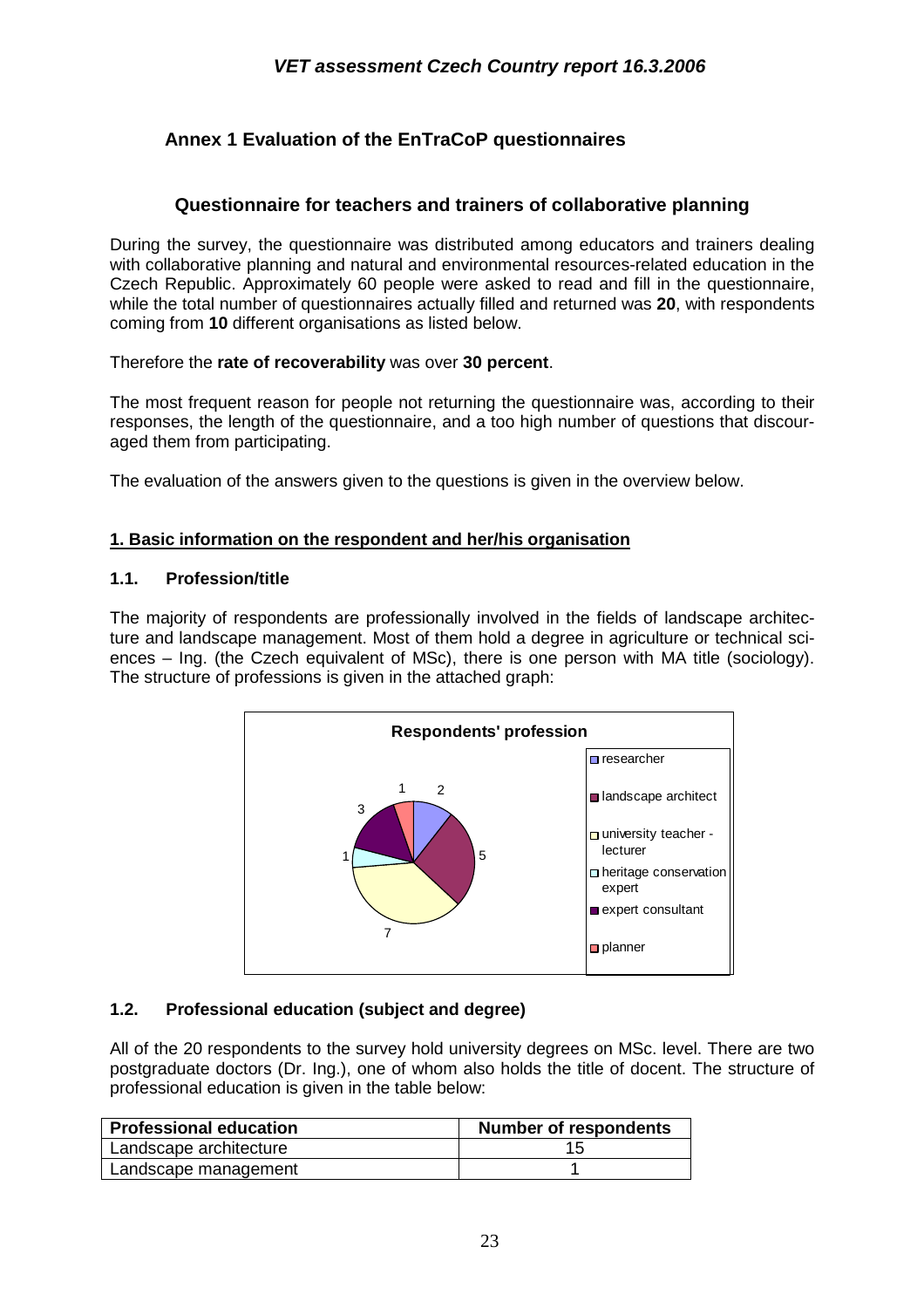## **Annex 1 Evaluation of the EnTraCoP questionnaires**

## **Questionnaire for teachers and trainers of collaborative planning**

During the survey, the questionnaire was distributed among educators and trainers dealing with collaborative planning and natural and environmental resources-related education in the Czech Republic. Approximately 60 people were asked to read and fill in the questionnaire, while the total number of questionnaires actually filled and returned was **20**, with respondents coming from **10** different organisations as listed below.

Therefore the **rate of recoverability** was over **30 percent**.

The most frequent reason for people not returning the questionnaire was, according to their responses, the length of the questionnaire, and a too high number of questions that discouraged them from participating.

The evaluation of the answers given to the questions is given in the overview below.

#### **1. Basic information on the respondent and her/his organisation**

#### **1.1. Profession/title**

The majority of respondents are professionally involved in the fields of landscape architecture and landscape management. Most of them hold a degree in agriculture or technical sciences – Ing. (the Czech equivalent of MSc), there is one person with MA title (sociology). The structure of professions is given in the attached graph:



#### **1.2. Professional education (subject and degree)**

All of the 20 respondents to the survey hold university degrees on MSc. level. There are two postgraduate doctors (Dr. Ing.), one of whom also holds the title of docent. The structure of professional education is given in the table below:

| <b>Professional education</b> | <b>Number of respondents</b> |
|-------------------------------|------------------------------|
| Landscape architecture        |                              |
| Landscape management          |                              |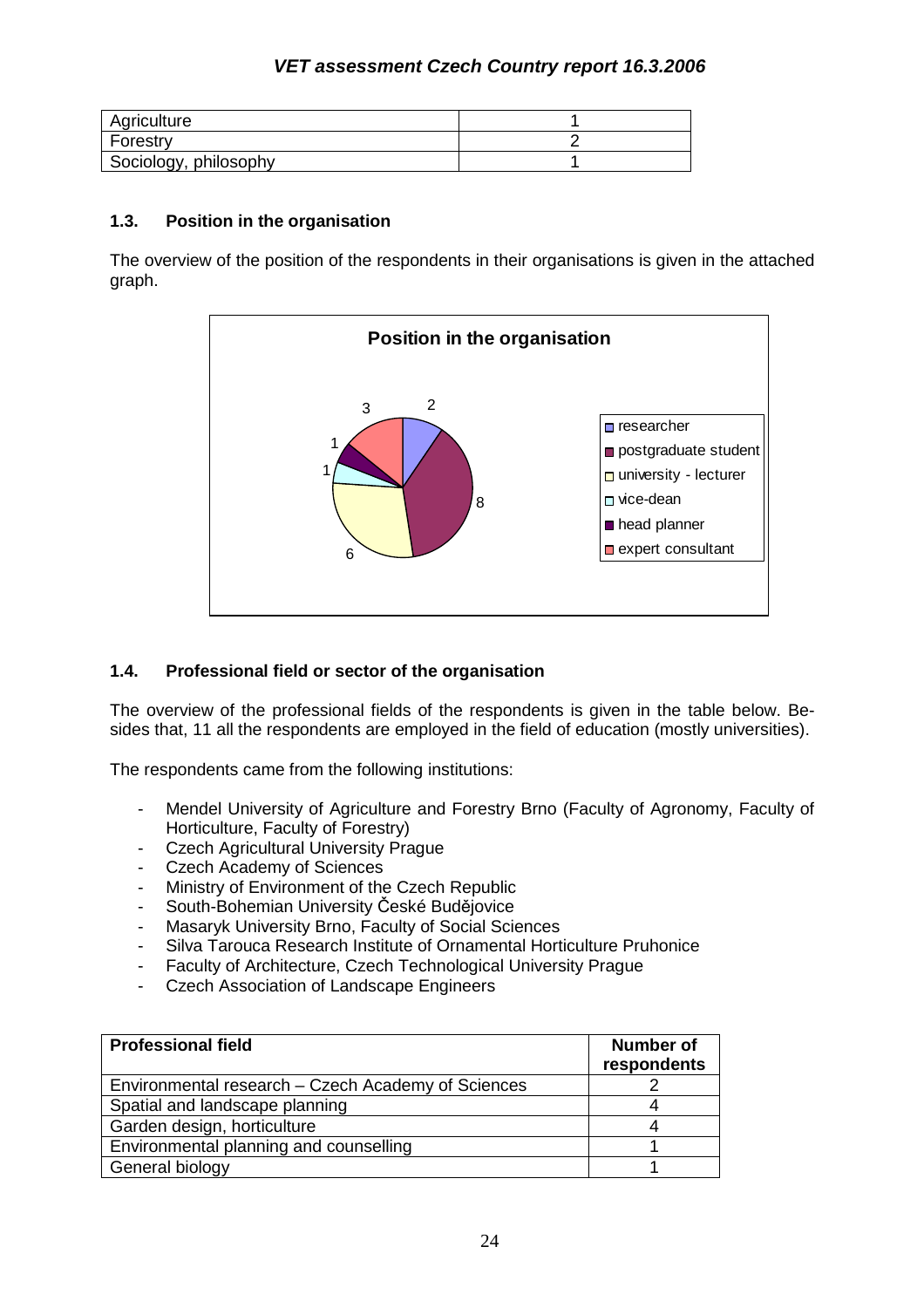| Agriculture           |  |
|-----------------------|--|
| Forestry              |  |
| Sociology, philosophy |  |

#### **1.3. Position in the organisation**

The overview of the position of the respondents in their organisations is given in the attached graph.



#### **1.4. Professional field or sector of the organisation**

The overview of the professional fields of the respondents is given in the table below. Besides that, 11 all the respondents are employed in the field of education (mostly universities).

The respondents came from the following institutions:

- Mendel University of Agriculture and Forestry Brno (Faculty of Agronomy, Faculty of Horticulture, Faculty of Forestry)
- Czech Agricultural University Prague
- Czech Academy of Sciences
- Ministry of Environment of the Czech Republic
- South-Bohemian University České Budějovice
- Masaryk University Brno, Faculty of Social Sciences
- Silva Tarouca Research Institute of Ornamental Horticulture Pruhonice
- Faculty of Architecture, Czech Technological University Prague
- Czech Association of Landscape Engineers

| <b>Professional field</b>                          | <b>Number of</b><br>respondents |
|----------------------------------------------------|---------------------------------|
| Environmental research – Czech Academy of Sciences |                                 |
| Spatial and landscape planning                     |                                 |
| Garden design, horticulture                        |                                 |
| Environmental planning and counselling             |                                 |
| General biology                                    |                                 |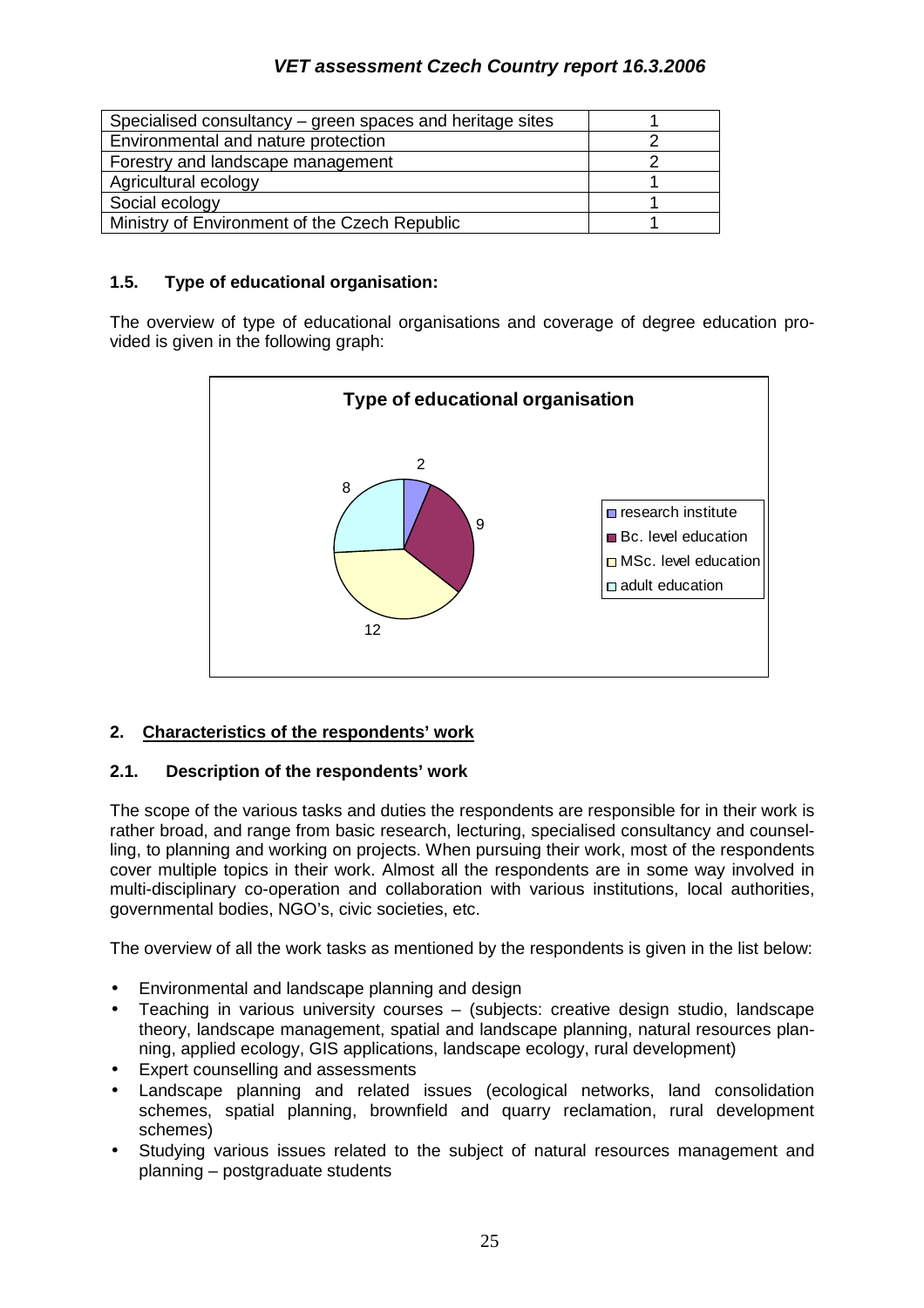| Specialised consultancy – green spaces and heritage sites |  |
|-----------------------------------------------------------|--|
| Environmental and nature protection                       |  |
| Forestry and landscape management                         |  |
| Agricultural ecology                                      |  |
| Social ecology                                            |  |
| Ministry of Environment of the Czech Republic             |  |

#### **1.5. Type of educational organisation:**

The overview of type of educational organisations and coverage of degree education provided is given in the following graph:



#### **2. Characteristics of the respondents' work**

#### **2.1. Description of the respondents' work**

The scope of the various tasks and duties the respondents are responsible for in their work is rather broad, and range from basic research, lecturing, specialised consultancy and counselling, to planning and working on projects. When pursuing their work, most of the respondents cover multiple topics in their work. Almost all the respondents are in some way involved in multi-disciplinary co-operation and collaboration with various institutions, local authorities, governmental bodies, NGO's, civic societies, etc.

The overview of all the work tasks as mentioned by the respondents is given in the list below:

- Environmental and landscape planning and design
- Teaching in various university courses (subjects: creative design studio, landscape theory, landscape management, spatial and landscape planning, natural resources planning, applied ecology, GIS applications, landscape ecology, rural development)
- Expert counselling and assessments
- Landscape planning and related issues (ecological networks, land consolidation schemes, spatial planning, brownfield and quarry reclamation, rural development schemes)
- Studying various issues related to the subject of natural resources management and planning – postgraduate students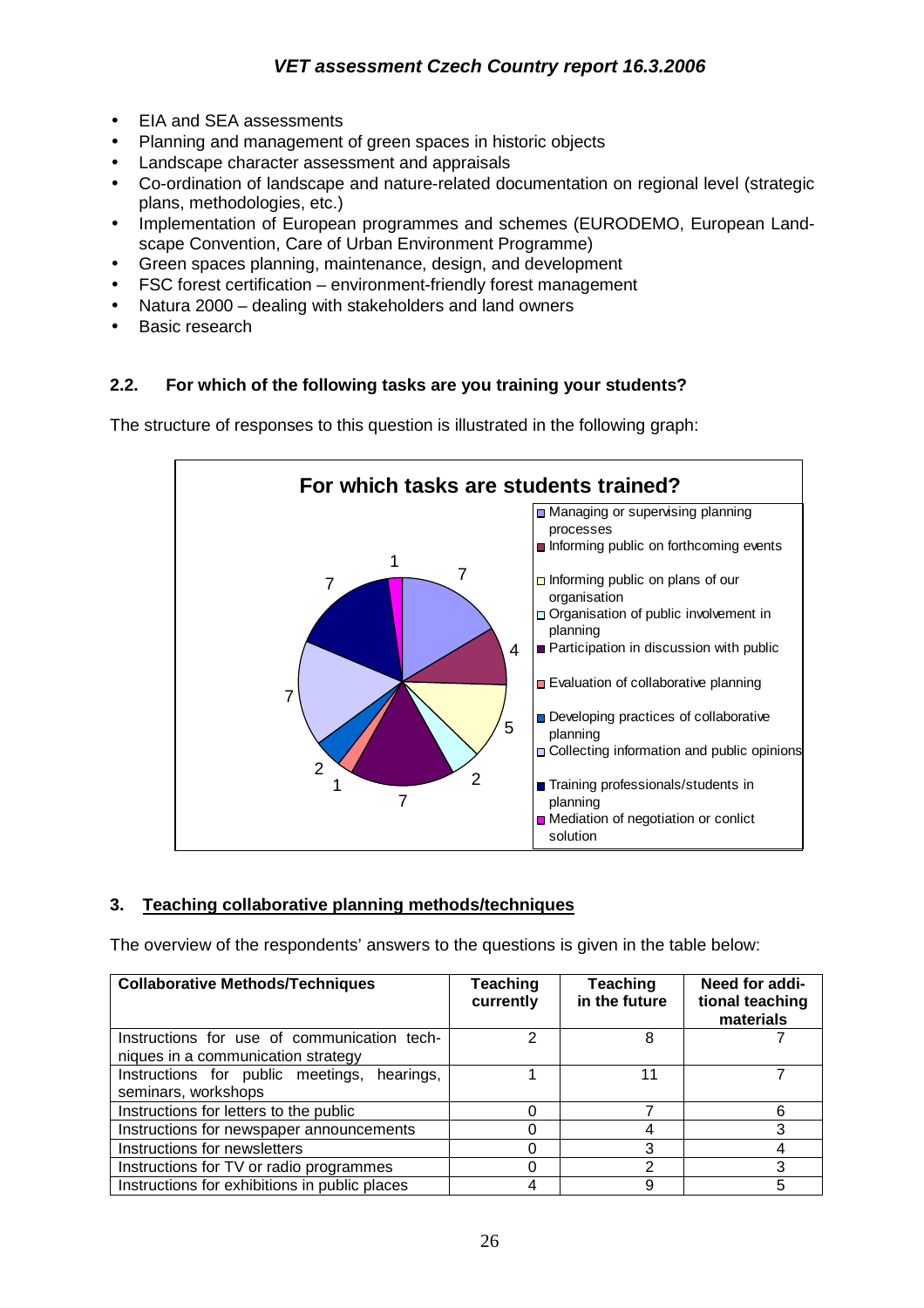- EIA and SEA assessments
- Planning and management of green spaces in historic objects
- Landscape character assessment and appraisals
- Co-ordination of landscape and nature-related documentation on regional level (strategic plans, methodologies, etc.)
- Implementation of European programmes and schemes (EURODEMO, European Landscape Convention, Care of Urban Environment Programme)
- Green spaces planning, maintenance, design, and development
- FSC forest certification environment-friendly forest management
- Natura 2000 dealing with stakeholders and land owners
- **Basic research**

## **2.2. For which of the following tasks are you training your students?**

**For which tasks are students trained?** 7 4 5 2 7 1 2 7 7 1 **Managing or supervising planning** processes Informing public on forthcoming events  $\Box$  Informing public on plans of our organisation Organisation of public involvement in planning ■ Participation in discussion with public Evaluation of collaborative planning Developing practices of collaborative planning □ Collecting information and public opinions **■ Training professionals/students in** planning ■ Mediation of negotiation or conlict solution

The structure of responses to this question is illustrated in the following graph:

## **3. Teaching collaborative planning methods/techniques**

The overview of the respondents' answers to the questions is given in the table below:

| <b>Collaborative Methods/Techniques</b>                                           | Teaching<br>currently | <b>Teaching</b><br>in the future | Need for addi-<br>tional teaching<br>materials |
|-----------------------------------------------------------------------------------|-----------------------|----------------------------------|------------------------------------------------|
| Instructions for use of communication tech-<br>niques in a communication strategy | 2                     | 8                                |                                                |
| Instructions for public meetings, hearings,<br>seminars, workshops                |                       | 11                               |                                                |
| Instructions for letters to the public                                            |                       |                                  |                                                |
| Instructions for newspaper announcements                                          |                       |                                  |                                                |
| Instructions for newsletters                                                      |                       | 3                                |                                                |
| Instructions for TV or radio programmes                                           |                       | ົ                                |                                                |
| Instructions for exhibitions in public places                                     |                       | 9                                | 5                                              |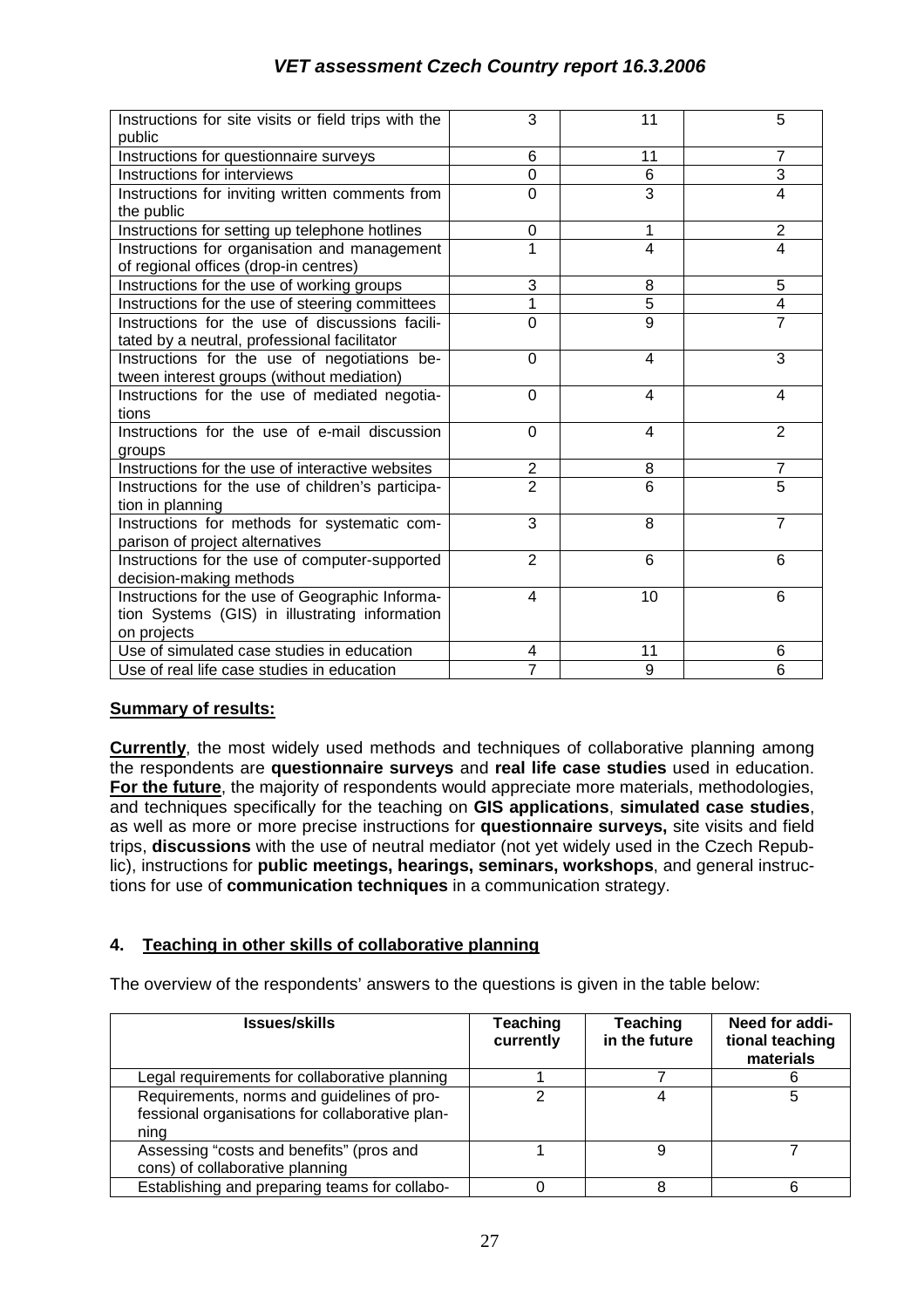| Instructions for site visits or field trips with the<br>public                                                   | 3                | 11             | 5              |
|------------------------------------------------------------------------------------------------------------------|------------------|----------------|----------------|
| Instructions for questionnaire surveys                                                                           | 6                | 11             | $\overline{7}$ |
| Instructions for interviews                                                                                      | $\mathbf 0$      | 6              | 3              |
| Instructions for inviting written comments from<br>the public                                                    | $\mathbf 0$      | 3              | $\overline{4}$ |
| Instructions for setting up telephone hotlines                                                                   | 0                | 1              | $\overline{2}$ |
| Instructions for organisation and management<br>of regional offices (drop-in centres)                            | $\overline{1}$   | 4              | $\overline{4}$ |
| Instructions for the use of working groups                                                                       | 3                | 8              | 5              |
| Instructions for the use of steering committees                                                                  | 1                | 5              | 4              |
| Instructions for the use of discussions facili-<br>tated by a neutral, professional facilitator                  | $\overline{0}$   | $\overline{9}$ | $\overline{7}$ |
| Instructions for the use of negotiations be-<br>tween interest groups (without mediation)                        | $\Omega$         | 4              | 3              |
| Instructions for the use of mediated negotia-<br>tions                                                           | $\Omega$         | 4              | 4              |
| Instructions for the use of e-mail discussion<br>groups                                                          | 0                | 4              | 2              |
| Instructions for the use of interactive websites                                                                 | $\boldsymbol{2}$ | 8              | 7              |
| Instructions for the use of children's participa-<br>tion in planning                                            | $\overline{2}$   | 6              | 5              |
| Instructions for methods for systematic com-<br>parison of project alternatives                                  | 3                | 8              | $\overline{7}$ |
| Instructions for the use of computer-supported<br>decision-making methods                                        | $\overline{2}$   | 6              | 6              |
| Instructions for the use of Geographic Informa-<br>tion Systems (GIS) in illustrating information<br>on projects | $\overline{4}$   | 10             | 6              |
| Use of simulated case studies in education                                                                       | 4                | 11             | 6              |
| Use of real life case studies in education                                                                       | $\overline{7}$   | 9              | 6              |

#### **Summary of results:**

**Currently**, the most widely used methods and techniques of collaborative planning among the respondents are **questionnaire surveys** and **real life case studies** used in education. **For the future**, the majority of respondents would appreciate more materials, methodologies, and techniques specifically for the teaching on **GIS applications**, **simulated case studies**, as well as more or more precise instructions for **questionnaire surveys,** site visits and field trips, **discussions** with the use of neutral mediator (not yet widely used in the Czech Republic), instructions for **public meetings, hearings, seminars, workshops**, and general instructions for use of **communication techniques** in a communication strategy.

#### **4. Teaching in other skills of collaborative planning**

The overview of the respondents' answers to the questions is given in the table below:

| <b>Issues/skills</b>                                                                                  | Teaching<br>currently | <b>Teaching</b><br>in the future | Need for addi-<br>tional teaching<br>materials |
|-------------------------------------------------------------------------------------------------------|-----------------------|----------------------------------|------------------------------------------------|
| Legal requirements for collaborative planning                                                         |                       |                                  |                                                |
| Requirements, norms and guidelines of pro-<br>fessional organisations for collaborative plan-<br>ning |                       |                                  |                                                |
| Assessing "costs and benefits" (pros and<br>cons) of collaborative planning                           |                       | 9                                |                                                |
| Establishing and preparing teams for collabo-                                                         |                       |                                  |                                                |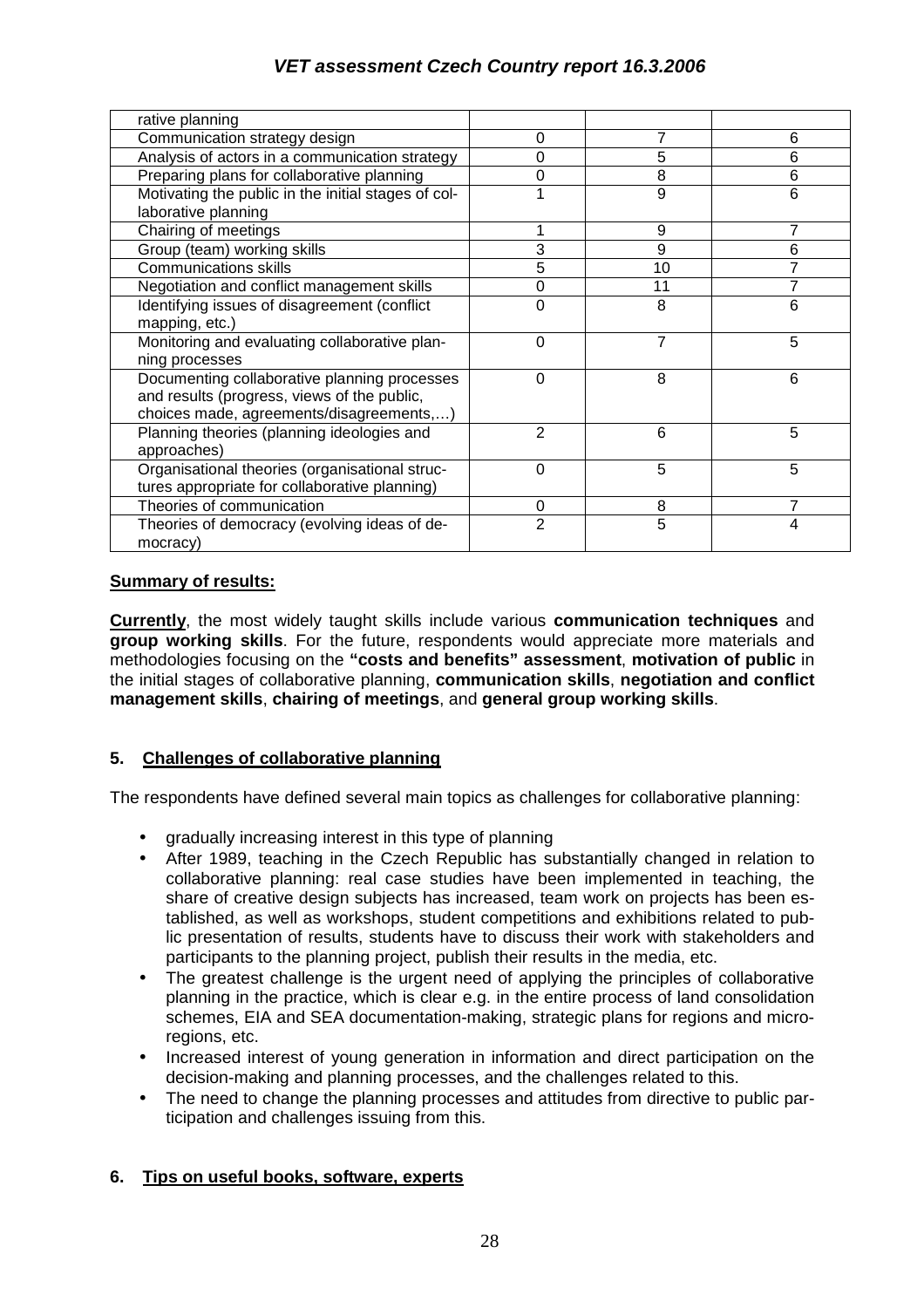| rative planning                                     |                |    |   |
|-----------------------------------------------------|----------------|----|---|
| Communication strategy design                       | 0              |    | 6 |
| Analysis of actors in a communication strategy      | 0              | 5  | 6 |
| Preparing plans for collaborative planning          | 0              | 8  | 6 |
| Motivating the public in the initial stages of col- |                | 9  | 6 |
| laborative planning                                 |                |    |   |
|                                                     |                |    | 7 |
| Chairing of meetings                                |                | 9  |   |
| Group (team) working skills                         | 3              | 9  | 6 |
| <b>Communications skills</b>                        | 5              | 10 |   |
| Negotiation and conflict management skills          | 0              | 11 |   |
| Identifying issues of disagreement (conflict        | 0              | 8  | 6 |
| mapping, etc.)                                      |                |    |   |
| Monitoring and evaluating collaborative plan-       | 0              | 7  | 5 |
| ning processes                                      |                |    |   |
| Documenting collaborative planning processes        | $\Omega$       | 8  | 6 |
| and results (progress, views of the public,         |                |    |   |
| choices made, agreements/disagreements,)            |                |    |   |
| Planning theories (planning ideologies and          | $\overline{2}$ | 6  | 5 |
| approaches)                                         |                |    |   |
| Organisational theories (organisational struc-      | $\Omega$       | 5  | 5 |
| tures appropriate for collaborative planning)       |                |    |   |
| Theories of communication                           | 0              | 8  |   |
|                                                     |                |    |   |
| Theories of democracy (evolving ideas of de-        | $\overline{2}$ | 5  | 4 |
| mocracy)                                            |                |    |   |

#### **Summary of results:**

**Currently**, the most widely taught skills include various **communication techniques** and **group working skills**. For the future, respondents would appreciate more materials and methodologies focusing on the **"costs and benefits" assessment**, **motivation of public** in the initial stages of collaborative planning, **communication skills**, **negotiation and conflict management skills**, **chairing of meetings**, and **general group working skills**.

#### **5. Challenges of collaborative planning**

The respondents have defined several main topics as challenges for collaborative planning:

- gradually increasing interest in this type of planning
- After 1989, teaching in the Czech Republic has substantially changed in relation to collaborative planning: real case studies have been implemented in teaching, the share of creative design subjects has increased, team work on projects has been established, as well as workshops, student competitions and exhibitions related to public presentation of results, students have to discuss their work with stakeholders and participants to the planning project, publish their results in the media, etc.
- The greatest challenge is the urgent need of applying the principles of collaborative planning in the practice, which is clear e.g. in the entire process of land consolidation schemes, EIA and SEA documentation-making, strategic plans for regions and microregions, etc.
- Increased interest of young generation in information and direct participation on the decision-making and planning processes, and the challenges related to this.
- The need to change the planning processes and attitudes from directive to public participation and challenges issuing from this.

#### **6. Tips on useful books, software, experts**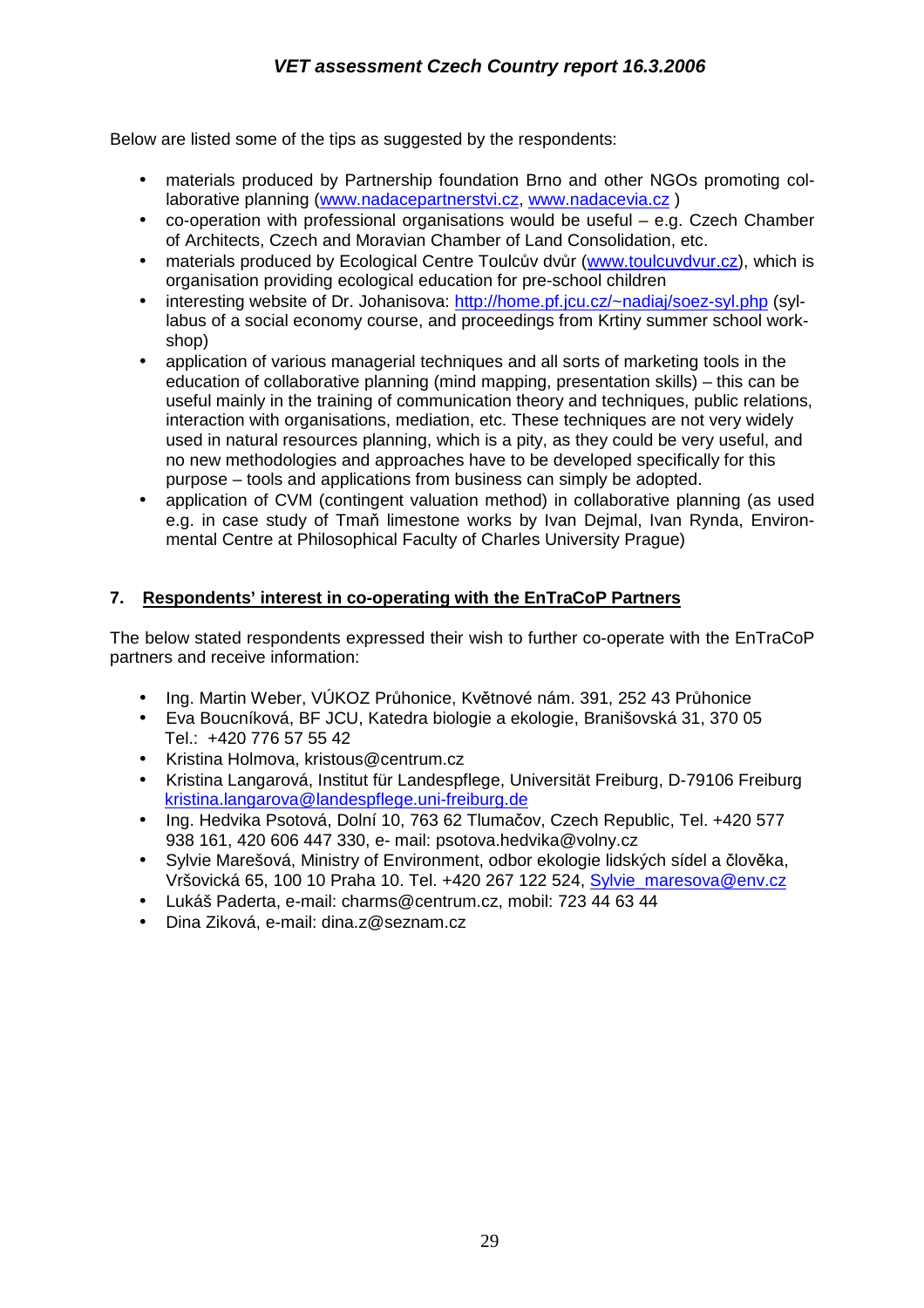Below are listed some of the tips as suggested by the respondents:

- materials produced by Partnership foundation Brno and other NGOs promoting collaborative planning (www.nadacepartnerstvi.cz, www.nadacevia.cz)
- co-operation with professional organisations would be useful e.g. Czech Chamber of Architects, Czech and Moravian Chamber of Land Consolidation, etc.
- materials produced by Ecological Centre Toulcův dvůr (www.toulcuvdvur.cz), which is organisation providing ecological education for pre-school children
- interesting website of Dr. Johanisova: http://home.pf.jcu.cz/~nadiaj/soez-syl.php (syllabus of a social economy course, and proceedings from Krtiny summer school workshop)
- application of various managerial techniques and all sorts of marketing tools in the education of collaborative planning (mind mapping, presentation skills) – this can be useful mainly in the training of communication theory and techniques, public relations, interaction with organisations, mediation, etc. These techniques are not very widely used in natural resources planning, which is a pity, as they could be very useful, and no new methodologies and approaches have to be developed specifically for this purpose – tools and applications from business can simply be adopted.
- application of CVM (contingent valuation method) in collaborative planning (as used e.g. in case study of Tmaň limestone works by Ivan Dejmal, Ivan Rynda, Environmental Centre at Philosophical Faculty of Charles University Prague)

#### **7. Respondents' interest in co-operating with the EnTraCoP Partners**

The below stated respondents expressed their wish to further co-operate with the EnTraCoP partners and receive information:

- Ing. Martin Weber, VÚKOZ Průhonice, Květnové nám. 391, 252 43 Průhonice
- Eva Boucníková, BF JCU, Katedra biologie a ekologie, Branišovská 31, 370 05 Tel.: +420 776 57 55 42
- Kristina Holmova, kristous@centrum.cz
- Kristina Langarová, Institut für Landespflege, Universität Freiburg, D-79106 Freiburg kristina.langarova@landespflege.uni-freiburg.de
- Ing. Hedvika Psotová, Dolní 10, 763 62 Tlumačov, Czech Republic, Tel. +420 577 938 161, 420 606 447 330, e- mail: psotova.hedvika@volny.cz
- Sylvie Marešová, Ministry of Environment, odbor ekologie lidských sídel a člověka, Vršovická 65, 100 10 Praha 10. Tel. +420 267 122 524, Sylvie\_maresova@env.cz
- Lukáš Paderta, e-mail: charms@centrum.cz, mobil: 723 44 63 44
- Dina Ziková, e-mail: dina.z@seznam.cz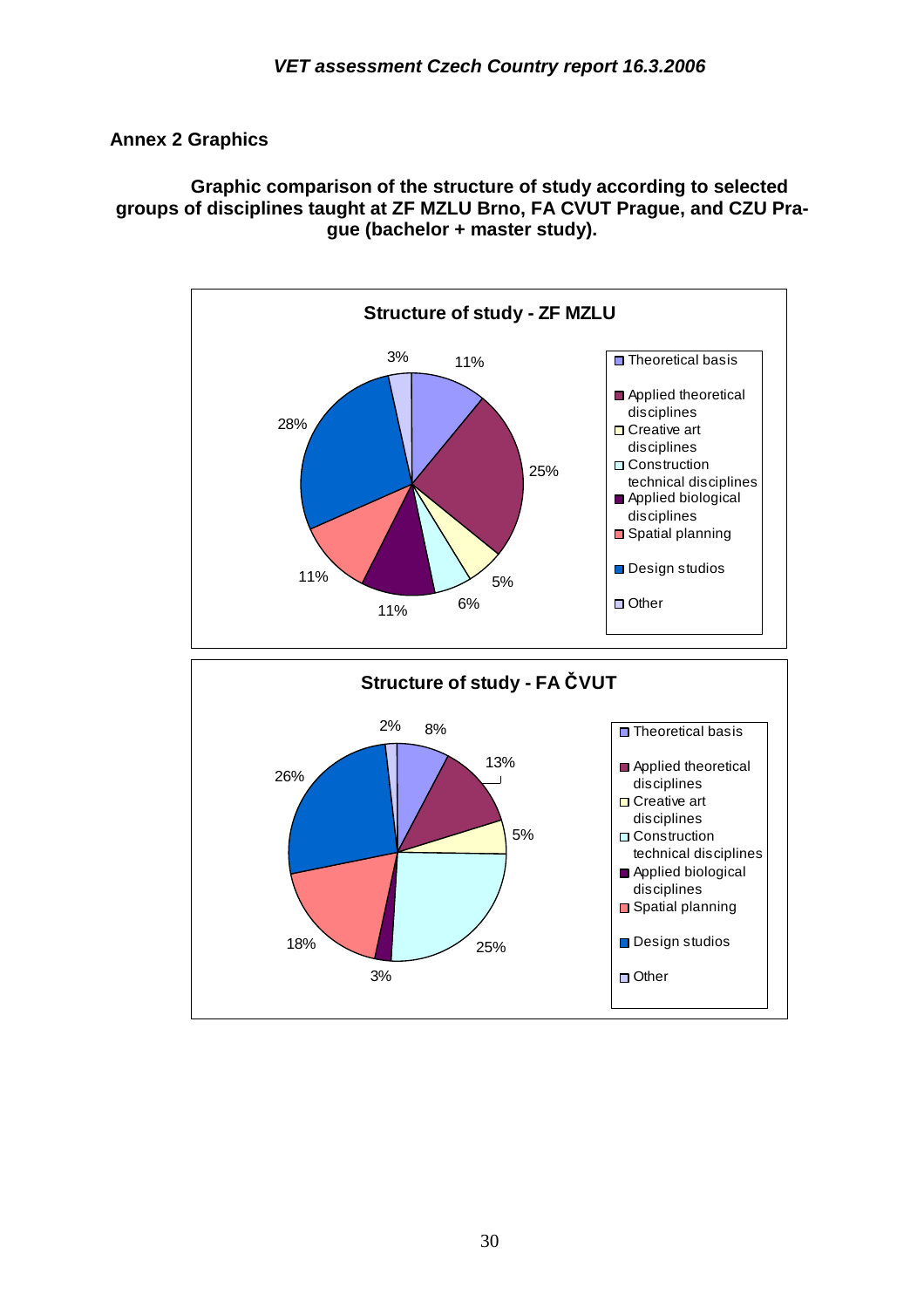## **Annex 2 Graphics**

**Graphic comparison of the structure of study according to selected groups of disciplines taught at ZF MZLU Brno, FA CVUT Prague, and CZU Prague (bachelor + master study).** 



25%

**□** Spatial planning

Design studios

□ Other

3%

18%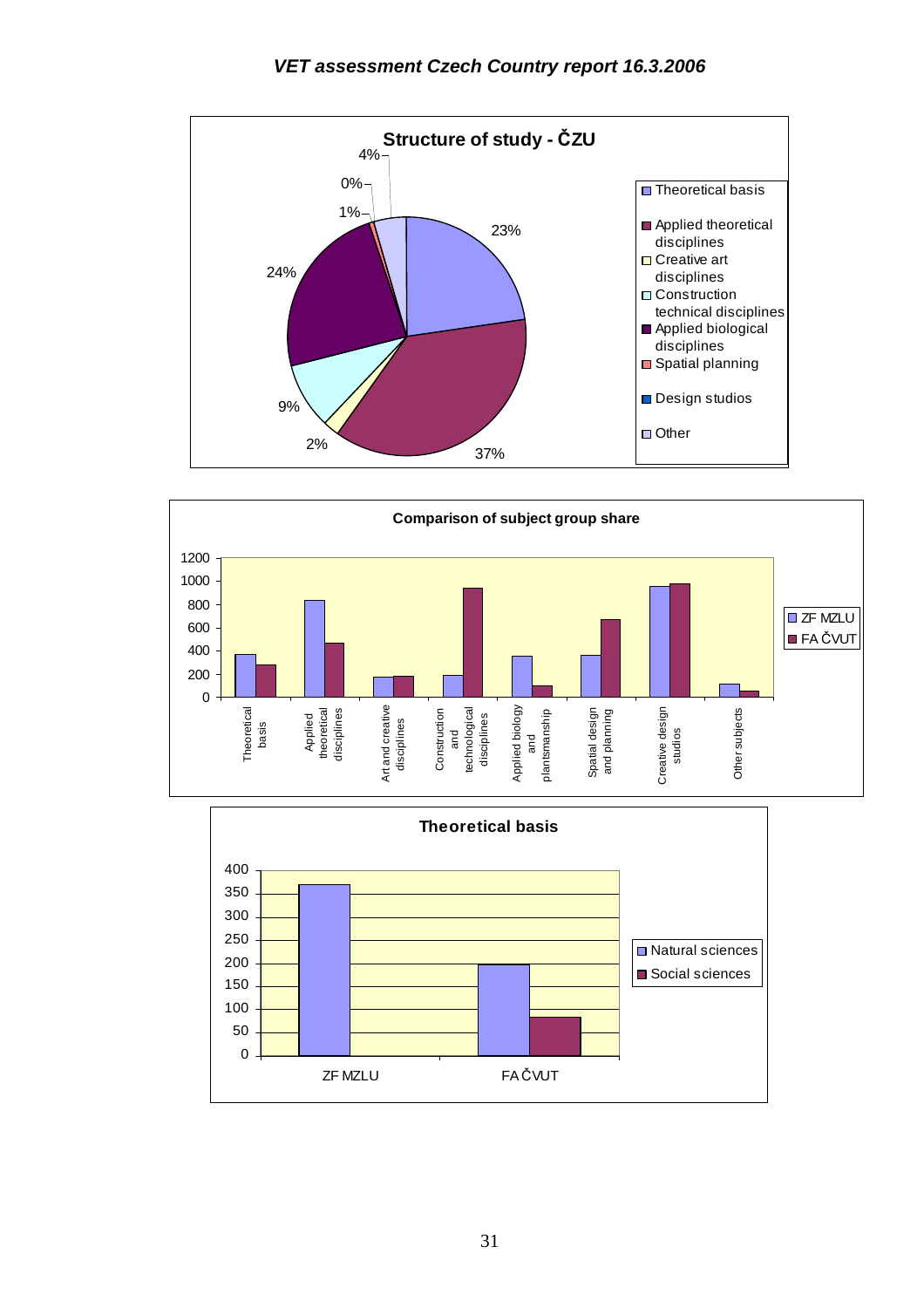